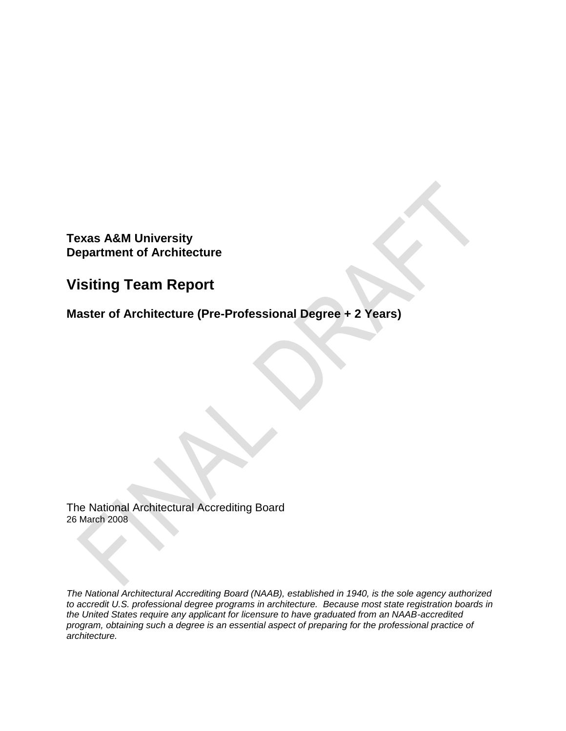**Texas A&M University Department of Architecture** 

# **Visiting Team Report**

**Master of Architecture (Pre-Professional Degree + 2 Years)**

The National Architectural Accrediting Board 26 March 2008

*The National Architectural Accrediting Board (NAAB), established in 1940, is the sole agency authorized to accredit U.S. professional degree programs in architecture. Because most state registration boards in the United States require any applicant for licensure to have graduated from an NAAB-accredited program, obtaining such a degree is an essential aspect of preparing for the professional practice of architecture.*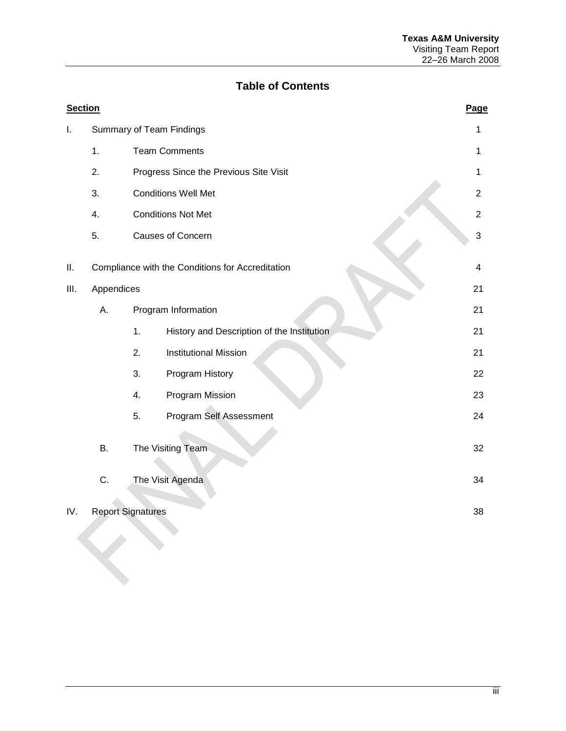# **Table of Contents**

| <b>Section</b> |                          |    |                                                  | <b>Page</b>    |
|----------------|--------------------------|----|--------------------------------------------------|----------------|
| I.             |                          |    | <b>Summary of Team Findings</b>                  | $\mathbf{1}$   |
|                | 1.                       |    | <b>Team Comments</b>                             | 1              |
|                | 2.                       |    | Progress Since the Previous Site Visit           | $\mathbf{1}$   |
|                | 3.                       |    | <b>Conditions Well Met</b>                       | $\overline{2}$ |
|                | 4.                       |    | <b>Conditions Not Met</b>                        | $\overline{2}$ |
|                | 5.                       |    | Causes of Concern                                | 3              |
| ΙΙ.            |                          |    | Compliance with the Conditions for Accreditation | $\overline{4}$ |
| Ш.             | Appendices               |    | 21                                               |                |
|                | А.                       |    | Program Information                              | 21             |
|                |                          | 1. | History and Description of the Institution       | 21             |
|                |                          | 2. | <b>Institutional Mission</b>                     | 21             |
|                |                          | 3. | Program History                                  | 22             |
|                |                          | 4. | Program Mission                                  | 23             |
|                |                          | 5. | Program Self Assessment                          | 24             |
|                | Β.                       |    | The Visiting Team                                | 32             |
|                | C.                       |    | The Visit Agenda                                 | 34             |
| IV.            | <b>Report Signatures</b> |    |                                                  | 38             |
|                |                          |    |                                                  |                |
|                |                          |    |                                                  |                |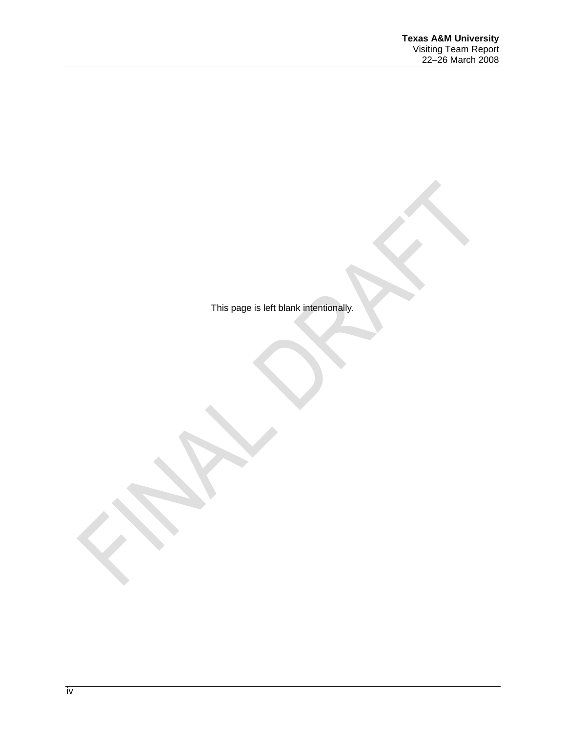This page is left blank intentionally.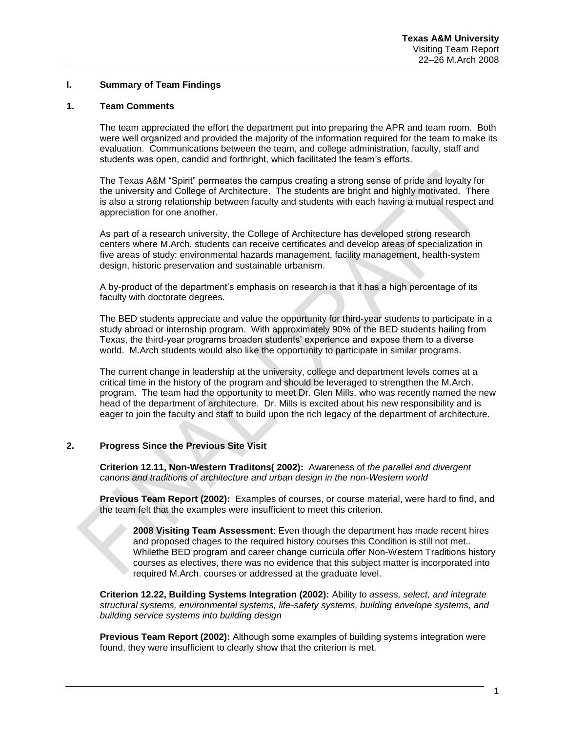#### **I. Summary of Team Findings**

#### **1. Team Comments**

The team appreciated the effort the department put into preparing the APR and team room. Both were well organized and provided the majority of the information required for the team to make its evaluation. Communications between the team, and college administration, faculty, staff and students was open, candid and forthright, which facilitated the team's efforts.

The Texas A&M "Spirit" permeates the campus creating a strong sense of pride and loyalty for the university and College of Architecture. The students are bright and highly motivated. There is also a strong relationship between faculty and students with each having a mutual respect and appreciation for one another.

As part of a research university, the College of Architecture has developed strong research centers where M.Arch. students can receive certificates and develop areas of specialization in five areas of study: environmental hazards management, facility management, health-system design, historic preservation and sustainable urbanism.

A by-product of the department's emphasis on research is that it has a high percentage of its faculty with doctorate degrees.

The BED students appreciate and value the opportunity for third-year students to participate in a study abroad or internship program. With approximately 90% of the BED students hailing from Texas, the third-year programs broaden students' experience and expose them to a diverse world. M.Arch students would also like the opportunity to participate in similar programs.

The current change in leadership at the university, college and department levels comes at a critical time in the history of the program and should be leveraged to strengthen the M.Arch. program. The team had the opportunity to meet Dr. Glen Mills, who was recently named the new head of the department of architecture. Dr. Mills is excited about his new responsibility and is eager to join the faculty and staff to build upon the rich legacy of the department of architecture.

#### **2. Progress Since the Previous Site Visit**

**Criterion 12.11, Non-Western Traditons( 2002):** Awareness of *the parallel and divergent canons and traditions of architecture and urban design in the non-Western world*

**Previous Team Report (2002):** Examples of courses, or course material, were hard to find, and the team felt that the examples were insufficient to meet this criterion*.*

**2008 Visiting Team Assessment**: Even though the department has made recent hires and proposed chages to the required history courses this Condition is still not met.. Whilethe BED program and career change curricula offer Non-Western Traditions history courses as electives, there was no evidence that this subject matter is incorporated into required M.Arch. courses or addressed at the graduate level.

**Criterion 12.22, Building Systems Integration (2002):** Ability to *assess, select, and integrate structural systems, environmental systems, life-safety systems, building envelope systems, and building service systems into building design*

**Previous Team Report (2002):** Although some examples of building systems integration were found, they were insufficient to clearly show that the criterion is met.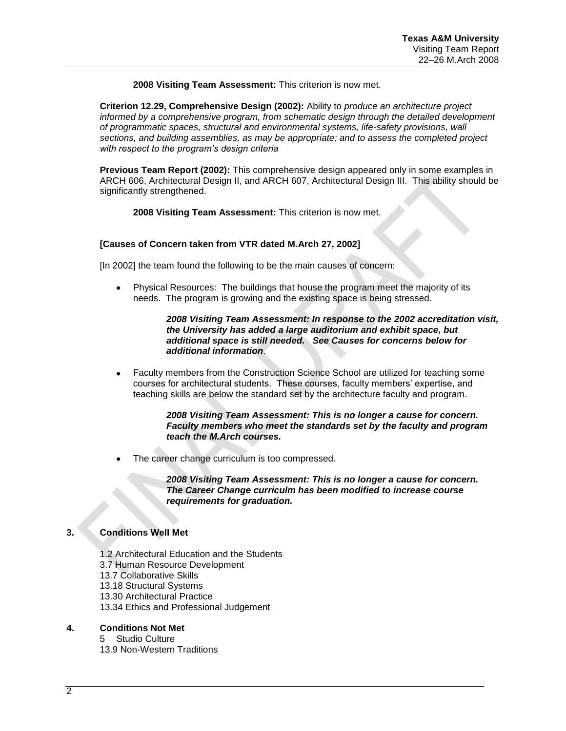#### **2008 Visiting Team Assessment:** This criterion is now met.

**Criterion 12.29, Comprehensive Design (2002):** Ability to *produce an architecture project informed by a comprehensive program, from schematic design through the detailed development of programmatic spaces, structural and environmental systems, life-safety provisions, wall sections, and building assemblies, as may be appropriate; and to assess the completed project with respect to the program's design criteria*

**Previous Team Report (2002):** This comprehensive design appeared only in some examples in ARCH 606, Architectural Design II, and ARCH 607, Architectural Design III. This ability should be significantly strengthened.

**2008 Visiting Team Assessment:** This criterion is now met.

#### **[Causes of Concern taken from VTR dated M.Arch 27, 2002]**

[In 2002] the team found the following to be the main causes of concern:

Physical Resources: The buildings that house the program meet the majority of its needs. The program is growing and the existing space is being stressed.

> *2008 Visiting Team Assessment: In response to the 2002 accreditation visit, the University has added a large auditorium and exhibit space, but additional space is still needed. See Causes for concerns below for additional information*.

Faculty members from the Construction Science School are utilized for teaching some courses for architectural students. These courses, faculty members' expertise, and teaching skills are below the standard set by the architecture faculty and program.

> *2008 Visiting Team Assessment: This is no longer a cause for concern. Faculty members who meet the standards set by the faculty and program teach the M.Arch courses.*

The career change curriculum is too compressed.

*2008 Visiting Team Assessment: This is no longer a cause for concern. The Career Change curriculm has been modified to increase course requirements for graduation.* 

## **3. Conditions Well Met**

1.2 Architectural Education and the Students 3.7 Human Resource Development 13.7 Collaborative Skills 13.18 Structural Systems 13.30 Architectural Practice 13.34 Ethics and Professional Judgement

#### **4. Conditions Not Met**

5 Studio Culture

13.9 Non-Western Traditions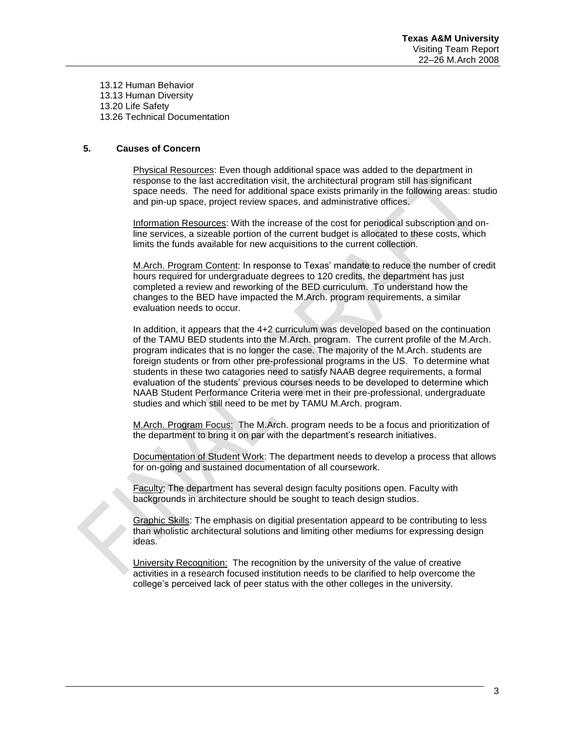13.12 Human Behavior 13.13 Human Diversity 13.20 Life Safety 13.26 Technical Documentation

#### **5. Causes of Concern**

Physical Resources: Even though additional space was added to the department in response to the last accreditation visit, the architectural program still has significant space needs. The need for additional space exists primarily in the following areas: studio and pin-up space, project review spaces, and administrative offices.

Information Resources: With the increase of the cost for periodical subscription and online services, a sizeable portion of the current budget is allocated to these costs, which limits the funds available for new acquisitions to the current collection.

M.Arch. Program Content: In response to Texas' mandate to reduce the number of credit hours required for undergraduate degrees to 120 credits, the department has just completed a review and reworking of the BED curriculum. To understand how the changes to the BED have impacted the M.Arch. program requirements, a similar evaluation needs to occur.

In addition, it appears that the 4+2 curriculum was developed based on the continuation of the TAMU BED students into the M.Arch. program. The current profile of the M.Arch. program indicates that is no longer the case. The majority of the M.Arch. students are foreign students or from other pre-professional programs in the US. To determine what students in these two catagories need to satisfy NAAB degree requirements, a formal evaluation of the students' previous courses needs to be developed to determine which NAAB Student Performance Criteria were met in their pre-professional, undergraduate studies and which still need to be met by TAMU M.Arch. program.

M.Arch. Program Focus: The M.Arch. program needs to be a focus and prioritization of the department to bring it on par with the department's research initiatives.

Documentation of Student Work: The department needs to develop a process that allows for on-going and sustained documentation of all coursework.

Faculty; The department has several design faculty positions open. Faculty with backgrounds in architecture should be sought to teach design studios.

Graphic Skills: The emphasis on digitial presentation appeard to be contributing to less than wholistic architectural solutions and limiting other mediums for expressing design ideas.

University Recognition: The recognition by the university of the value of creative activities in a research focused institution needs to be clarified to help overcome the college's perceived lack of peer status with the other colleges in the university.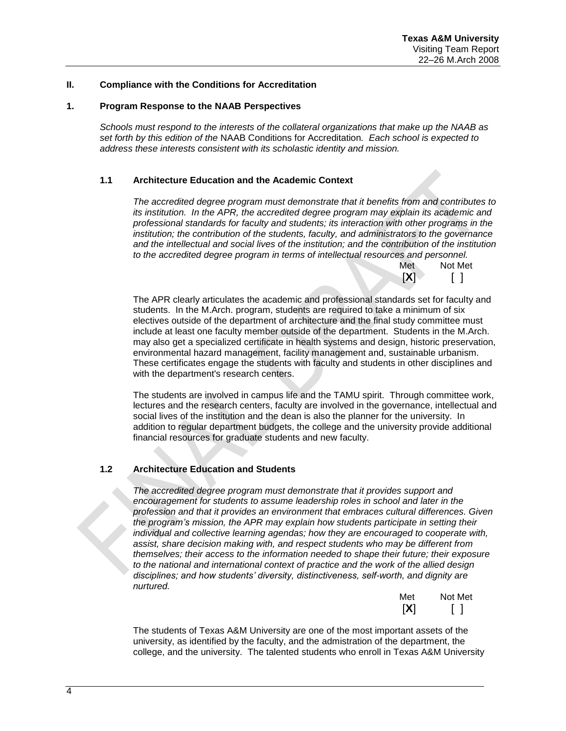Met Not Met  $[X]$  [ ]

#### **II. Compliance with the Conditions for Accreditation**

#### **1. Program Response to the NAAB Perspectives**

*Schools must respond to the interests of the collateral organizations that make up the NAAB as set forth by this edition of the* NAAB Conditions for Accreditation*. Each school is expected to address these interests consistent with its scholastic identity and mission.*

#### **1.1 Architecture Education and the Academic Context**

*The accredited degree program must demonstrate that it benefits from and contributes to its institution. In the APR, the accredited degree program may explain its academic and professional standards for faculty and students; its interaction with other programs in the institution; the contribution of the students, faculty, and administrators to the governance and the intellectual and social lives of the institution; and the contribution of the institution to the accredited degree program in terms of intellectual resources and personnel.*

The APR clearly articulates the academic and professional standards set for faculty and students. In the M.Arch. program, students are required to take a minimum of six electives outside of the department of architecture and the final study committee must include at least one faculty member outside of the department. Students in the M.Arch. may also get a specialized certificate in health systems and design, historic preservation, environmental hazard management, facility management and, sustainable urbanism. These certificates engage the students with faculty and students in other disciplines and with the department's research centers.

The students are involved in campus life and the TAMU spirit. Through committee work, lectures and the research centers, faculty are involved in the governance, intellectual and social lives of the institution and the dean is also the planner for the university. In addition to regular department budgets, the college and the university provide additional financial resources for graduate students and new faculty.

#### **1.2 Architecture Education and Students**

*The accredited degree program must demonstrate that it provides support and encouragement for students to assume leadership roles in school and later in the profession and that it provides an environment that embraces cultural differences. Given the program's mission, the APR may explain how students participate in setting their individual and collective learning agendas; how they are encouraged to cooperate with, assist, share decision making with, and respect students who may be different from themselves; their access to the information needed to shape their future; their exposure to the national and international context of practice and the work of the allied design disciplines; and how students' diversity, distinctiveness, self-worth, and dignity are nurtured.*

| Met | Not Met |
|-----|---------|
| [X] |         |

The students of Texas A&M University are one of the most important assets of the university, as identified by the faculty, and the admistration of the department, the college, and the university. The talented students who enroll in Texas A&M University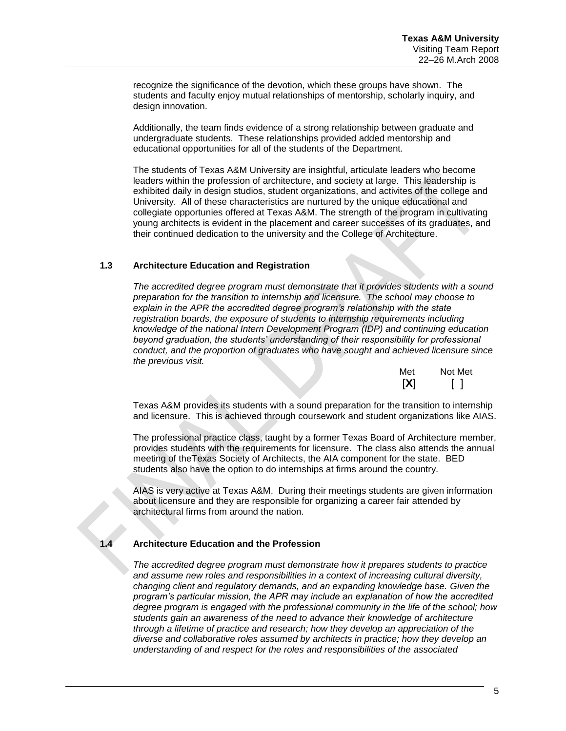recognize the significance of the devotion, which these groups have shown. The students and faculty enjoy mutual relationships of mentorship, scholarly inquiry, and design innovation.

Additionally, the team finds evidence of a strong relationship between graduate and undergraduate students. These relationships provided added mentorship and educational opportunities for all of the students of the Department.

The students of Texas A&M University are insightful, articulate leaders who become leaders within the profession of architecture, and society at large. This leadership is exhibited daily in design studios, student organizations, and activites of the college and University. All of these characteristics are nurtured by the unique educational and collegiate opportunies offered at Texas A&M. The strength of the program in cultivating young architects is evident in the placement and career successes of its graduates, and their continued dedication to the university and the College of Architecture.

#### **1.3 Architecture Education and Registration**

*The accredited degree program must demonstrate that it provides students with a sound preparation for the transition to internship and licensure. The school may choose to explain in the APR the accredited degree program's relationship with the state registration boards, the exposure of students to internship requirements including knowledge of the national Intern Development Program (IDP) and continuing education beyond graduation, the students' understanding of their responsibility for professional conduct, and the proportion of graduates who have sought and achieved licensure since the previous visit.*

| Met | Not Met |
|-----|---------|
| [X] |         |

Texas A&M provides its students with a sound preparation for the transition to internship and licensure. This is achieved through coursework and student organizations like AIAS.

The professional practice class, taught by a former Texas Board of Architecture member, provides students with the requirements for licensure. The class also attends the annual meeting of theTexas Society of Architects, the AIA component for the state. BED students also have the option to do internships at firms around the country.

AIAS is very active at Texas A&M. During their meetings students are given information about licensure and they are responsible for organizing a career fair attended by architectural firms from around the nation.

## **1.4 Architecture Education and the Profession**

*The accredited degree program must demonstrate how it prepares students to practice and assume new roles and responsibilities in a context of increasing cultural diversity, changing client and regulatory demands, and an expanding knowledge base. Given the program's particular mission, the APR may include an explanation of how the accredited degree program is engaged with the professional community in the life of the school; how students gain an awareness of the need to advance their knowledge of architecture through a lifetime of practice and research; how they develop an appreciation of the diverse and collaborative roles assumed by architects in practice; how they develop an understanding of and respect for the roles and responsibilities of the associated*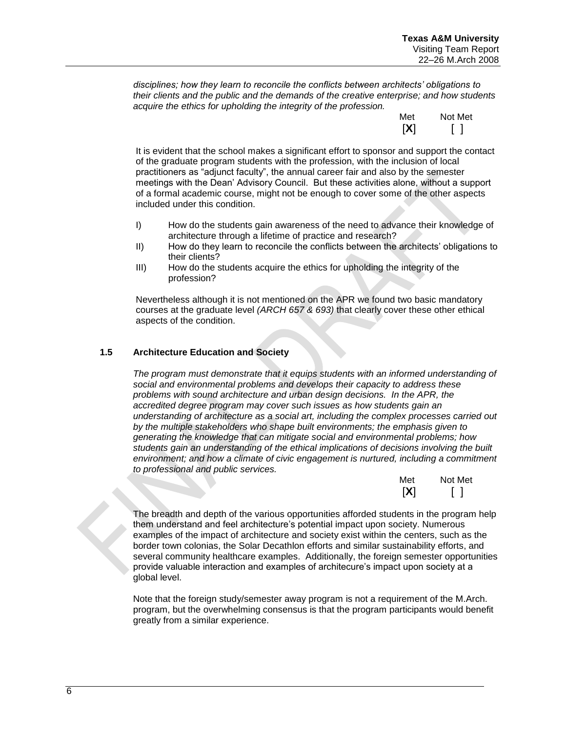*disciplines; how they learn to reconcile the conflicts between architects' obligations to their clients and the public and the demands of the creative enterprise; and how students acquire the ethics for upholding the integrity of the profession.*

| Met | Not Met |
|-----|---------|
| [X] |         |

It is evident that the school makes a significant effort to sponsor and support the contact of the graduate program students with the profession, with the inclusion of local practitioners as "adjunct faculty", the annual career fair and also by the semester meetings with the Dean' Advisory Council. But these activities alone, without a support of a formal academic course, might not be enough to cover some of the other aspects included under this condition.

- I) How do the students gain awareness of the need to advance their knowledge of architecture through a lifetime of practice and research?
- II) How do they learn to reconcile the conflicts between the architects' obligations to their clients?
- III) How do the students acquire the ethics for upholding the integrity of the profession?

Nevertheless although it is not mentioned on the APR we found two basic mandatory courses at the graduate level *(ARCH 657 & 693)* that clearly cover these other ethical aspects of the condition.

## **1.5 Architecture Education and Society**

*The program must demonstrate that it equips students with an informed understanding of social and environmental problems and develops their capacity to address these problems with sound architecture and urban design decisions. In the APR, the accredited degree program may cover such issues as how students gain an understanding of architecture as a social art, including the complex processes carried out by the multiple stakeholders who shape built environments; the emphasis given to generating the knowledge that can mitigate social and environmental problems; how students gain an understanding of the ethical implications of decisions involving the built*  environment; and how a climate of civic engagement is nurtured, including a commitment *to professional and public services.*

| Met | Not Met |
|-----|---------|
| [X] |         |

The breadth and depth of the various opportunities afforded students in the program help them understand and feel architecture's potential impact upon society. Numerous examples of the impact of architecture and society exist within the centers, such as the border town colonias, the Solar Decathlon efforts and similar sustainability efforts, and several community healthcare examples. Additionally, the foreign semester opportunities provide valuable interaction and examples of architecure's impact upon society at a global level.

Note that the foreign study/semester away program is not a requirement of the M.Arch. program, but the overwhelming consensus is that the program participants would benefit greatly from a similar experience.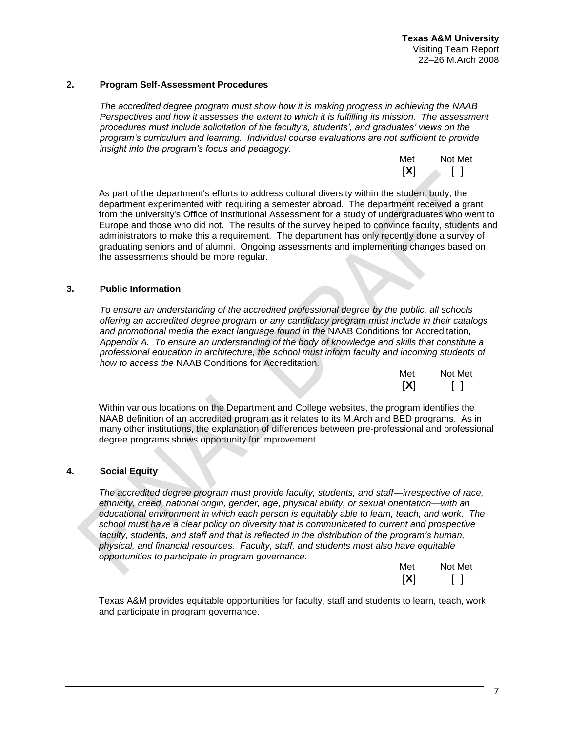#### **2. Program Self-Assessment Procedures**

*The accredited degree program must show how it is making progress in achieving the NAAB Perspectives and how it assesses the extent to which it is fulfilling its mission. The assessment procedures must include solicitation of the faculty's, students', and graduates' views on the program's curriculum and learning. Individual course evaluations are not sufficient to provide insight into the program's focus and pedagogy.*

| Met | Not Met |
|-----|---------|
| [X] |         |

As part of the department's efforts to address cultural diversity within the student body, the department experimented with requiring a semester abroad. The department received a grant from the university's Office of Institutional Assessment for a study of undergraduates who went to Europe and those who did not. The results of the survey helped to convince faculty, students and administrators to make this a requirement. The department has only recently done a survey of graduating seniors and of alumni. Ongoing assessments and implementing changes based on the assessments should be more regular.

## **3. Public Information**

*To ensure an understanding of the accredited professional degree by the public, all schools offering an accredited degree program or any candidacy program must include in their catalogs and promotional media the exact language found in the* NAAB Conditions for Accreditation*, Appendix A. To ensure an understanding of the body of knowledge and skills that constitute a professional education in architecture, the school must inform faculty and incoming students of how to access the* NAAB Conditions for Accreditation*.*

| Met | Not Met |
|-----|---------|
| [X] |         |

Within various locations on the Department and College websites, the program identifies the NAAB definition of an accredited program as it relates to its M.Arch and BED programs. As in many other institutions, the explanation of differences between pre-professional and professional degree programs shows opportunity for improvement.

## **4. Social Equity**

*The accredited degree program must provide faculty, students, and staff—irrespective of race, ethnicity, creed, national origin, gender, age, physical ability, or sexual orientation—with an educational environment in which each person is equitably able to learn, teach, and work. The school must have a clear policy on diversity that is communicated to current and prospective faculty, students, and staff and that is reflected in the distribution of the program's human, physical, and financial resources. Faculty, staff, and students must also have equitable opportunities to participate in program governance.*

| Met | Not Met |
|-----|---------|
| [X] |         |

Texas A&M provides equitable opportunities for faculty, staff and students to learn, teach, work and participate in program governance.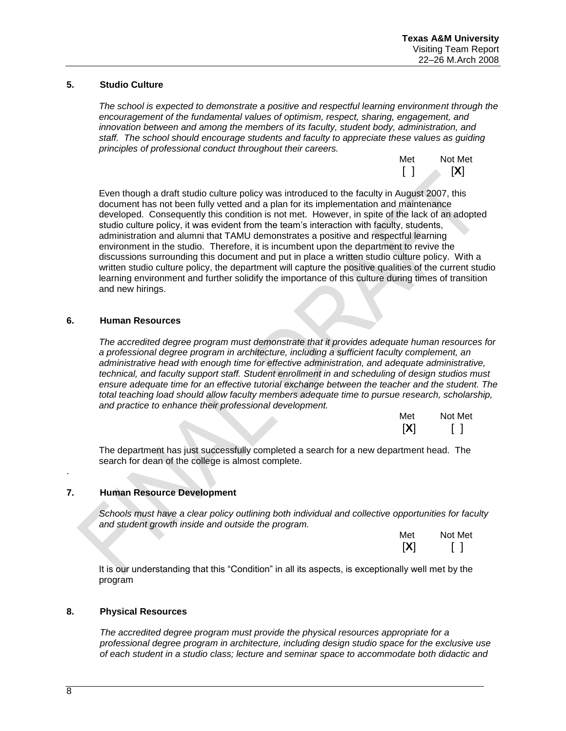#### **5. Studio Culture**

*The school is expected to demonstrate a positive and respectful learning environment through the encouragement of the fundamental values of optimism, respect, sharing, engagement, and innovation between and among the members of its faculty, student body, administration, and staff. The school should encourage students and faculty to appreciate these values as guiding principles of professional conduct throughout their careers.*

| Met | Not Met |
|-----|---------|
|     | [X]     |

Even though a draft studio culture policy was introduced to the faculty in August 2007, this document has not been fully vetted and a plan for its implementation and maintenance developed. Consequently this condition is not met. However, in spite of the lack of an adopted studio culture policy, it was evident from the team's interaction with faculty, students, administration and alumni that TAMU demonstrates a positive and respectful learning environment in the studio. Therefore, it is incumbent upon the department to revive the discussions surrounding this document and put in place a written studio culture policy. With a written studio culture policy, the department will capture the positive qualities of the current studio learning environment and further solidify the importance of this culture during times of transition and new hirings.

#### **6. Human Resources**

*The accredited degree program must demonstrate that it provides adequate human resources for a professional degree program in architecture, including a sufficient faculty complement, an administrative head with enough time for effective administration, and adequate administrative, technical, and faculty support staff. Student enrollment in and scheduling of design studios must ensure adequate time for an effective tutorial exchange between the teacher and the student. The total teaching load should allow faculty members adequate time to pursue research, scholarship, and practice to enhance their professional development.*

| Met | Not Met |
|-----|---------|
| [X] |         |

The department has just successfully completed a search for a new department head. The search for dean of the college is almost complete.

#### **7. Human Resource Development**

*Schools must have a clear policy outlining both individual and collective opportunities for faculty and student growth inside and outside the program.*

| Met | Not Met |
|-----|---------|
| [X] |         |

It is our understanding that this "Condition" in all its aspects, is exceptionally well met by the program

#### **8. Physical Resources**

*The accredited degree program must provide the physical resources appropriate for a professional degree program in architecture, including design studio space for the exclusive use of each student in a studio class; lecture and seminar space to accommodate both didactic and* 

.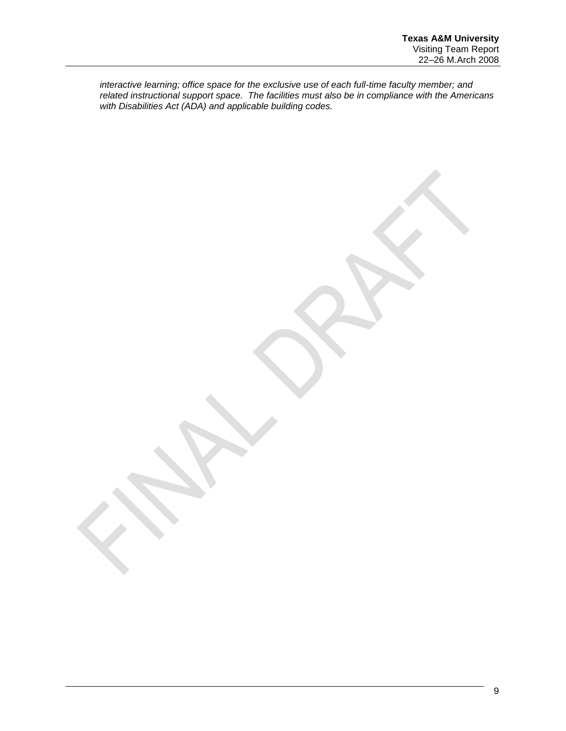*interactive learning; office space for the exclusive use of each full-time faculty member; and related instructional support space. The facilities must also be in compliance with the Americans with Disabilities Act (ADA) and applicable building codes.*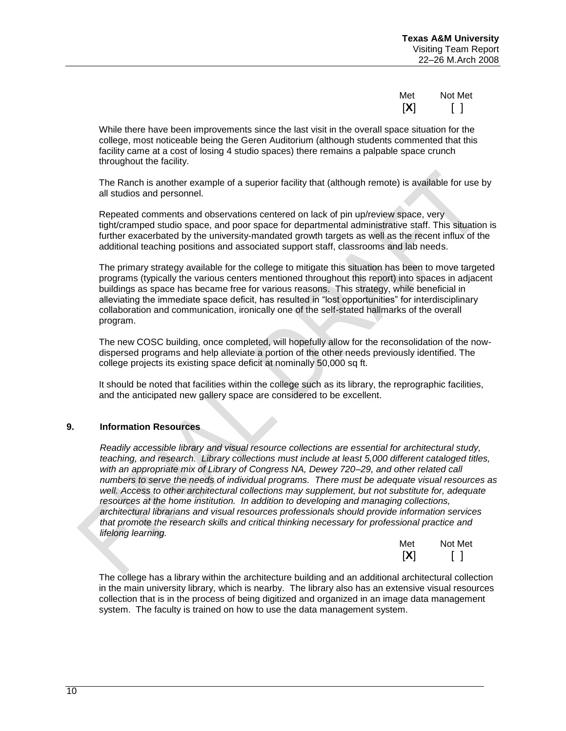| Met | Not Met |
|-----|---------|
| [X] |         |

While there have been improvements since the last visit in the overall space situation for the college, most noticeable being the Geren Auditorium (although students commented that this facility came at a cost of losing 4 studio spaces) there remains a palpable space crunch throughout the facility.

The Ranch is another example of a superior facility that (although remote) is available for use by all studios and personnel.

Repeated comments and observations centered on lack of pin up/review space, very tight/cramped studio space, and poor space for departmental administrative staff. This situation is further exacerbated by the university-mandated growth targets as well as the recent influx of the additional teaching positions and associated support staff, classrooms and lab needs.

The primary strategy available for the college to mitigate this situation has been to move targeted programs (typically the various centers mentioned throughout this report) into spaces in adjacent buildings as space has became free for various reasons. This strategy, while beneficial in alleviating the immediate space deficit, has resulted in "lost opportunities" for interdisciplinary collaboration and communication, ironically one of the self-stated hallmarks of the overall program.

The new COSC building, once completed, will hopefully allow for the reconsolidation of the nowdispersed programs and help alleviate a portion of the other needs previously identified. The college projects its existing space deficit at nominally 50,000 sq ft.

It should be noted that facilities within the college such as its library, the reprographic facilities, and the anticipated new gallery space are considered to be excellent.

#### **9. Information Resources**

*Readily accessible library and visual resource collections are essential for architectural study, teaching, and research. Library collections must include at least 5,000 different cataloged titles, with an appropriate mix of Library of Congress NA, Dewey 720–29, and other related call numbers to serve the needs of individual programs. There must be adequate visual resources as well. Access to other architectural collections may supplement, but not substitute for, adequate resources at the home institution. In addition to developing and managing collections, architectural librarians and visual resources professionals should provide information services that promote the research skills and critical thinking necessary for professional practice and lifelong learning.* 

| Met | Not Met |  |
|-----|---------|--|
| [X] |         |  |

The college has a library within the architecture building and an additional architectural collection in the main university library, which is nearby. The library also has an extensive visual resources collection that is in the process of being digitized and organized in an image data management system. The faculty is trained on how to use the data management system.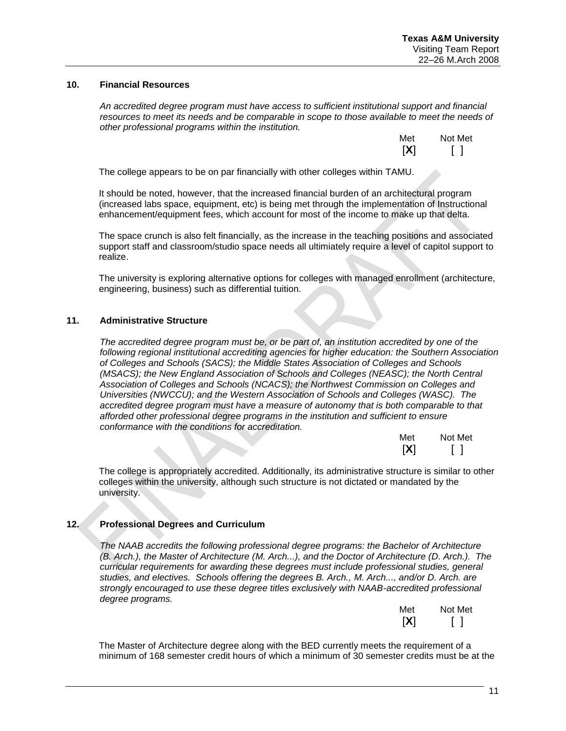#### **10. Financial Resources**

*An accredited degree program must have access to sufficient institutional support and financial resources to meet its needs and be comparable in scope to those available to meet the needs of other professional programs within the institution.*

| Met | Not Met |
|-----|---------|
| [X] |         |

The college appears to be on par financially with other colleges within TAMU.

It should be noted, however, that the increased financial burden of an architectural program (increased labs space, equipment, etc) is being met through the implementation of Instructional enhancement/equipment fees, which account for most of the income to make up that delta.

The space crunch is also felt financially, as the increase in the teaching positions and associated support staff and classroom/studio space needs all ultimiately require a level of capitol support to realize.

The university is exploring alternative options for colleges with managed enrollment (architecture, engineering, business) such as differential tuition.

#### **11. Administrative Structure**

*The accredited degree program must be, or be part of, an institution accredited by one of the following regional institutional accrediting agencies for higher education: the Southern Association of Colleges and Schools (SACS); the Middle States Association of Colleges and Schools (MSACS); the New England Association of Schools and Colleges (NEASC); the North Central Association of Colleges and Schools (NCACS); the Northwest Commission on Colleges and Universities (NWCCU); and the Western Association of Schools and Colleges (WASC). The accredited degree program must have a measure of autonomy that is both comparable to that afforded other professional degree programs in the institution and sufficient to ensure conformance with the conditions for accreditation.*

| Met | Not Met |
|-----|---------|
| [X] |         |

The college is appropriately accredited. Additionally, its administrative structure is similar to other colleges within the university, although such structure is not dictated or mandated by the university.

#### **12. Professional Degrees and Curriculum**

*The NAAB accredits the following professional degree programs: the Bachelor of Architecture (B. Arch.), the Master of Architecture (M. Arch...), and the Doctor of Architecture (D. Arch.). The curricular requirements for awarding these degrees must include professional studies, general studies, and electives. Schools offering the degrees B. Arch., M. Arch..., and/or D. Arch. are strongly encouraged to use these degree titles exclusively with NAAB-accredited professional degree programs.*

| Met | Not Met |
|-----|---------|
| [X] |         |

The Master of Architecture degree along with the BED currently meets the requirement of a minimum of 168 semester credit hours of which a minimum of 30 semester credits must be at the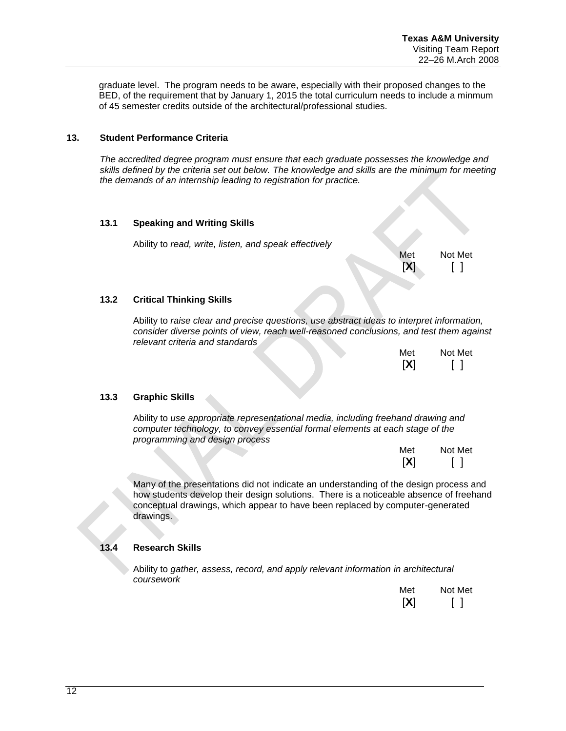graduate level. The program needs to be aware, especially with their proposed changes to the BED, of the requirement that by January 1, 2015 the total curriculum needs to include a minmum of 45 semester credits outside of the architectural/professional studies.

#### **13. Student Performance Criteria**

*The accredited degree program must ensure that each graduate possesses the knowledge and skills defined by the criteria set out below. The knowledge and skills are the minimum for meeting the demands of an internship leading to registration for practice.*

#### **13.1 Speaking and Writing Skills**

Ability to *read, write, listen, and speak effectively*

## **13.2 Critical Thinking Skills**

Ability to *raise clear and precise questions, use abstract ideas to interpret information, consider diverse points of view, reach well-reasoned conclusions, and test them against relevant criteria and standards*

| Met | Not Met |
|-----|---------|
| [X] |         |

Met Not Met [**X**] [ ]

#### **13.3 Graphic Skills**

Ability to *use appropriate representational media, including freehand drawing and computer technology, to convey essential formal elements at each stage of the programming and design process*

| Met | Not Met |
|-----|---------|
| [X] |         |

Many of the presentations did not indicate an understanding of the design process and how students develop their design solutions. There is a noticeable absence of freehand conceptual drawings, which appear to have been replaced by computer-generated drawings.

## **13.4 Research Skills**

Ability to *gather, assess, record, and apply relevant information in architectural coursework*

| Met | Not Met |
|-----|---------|
| [X] |         |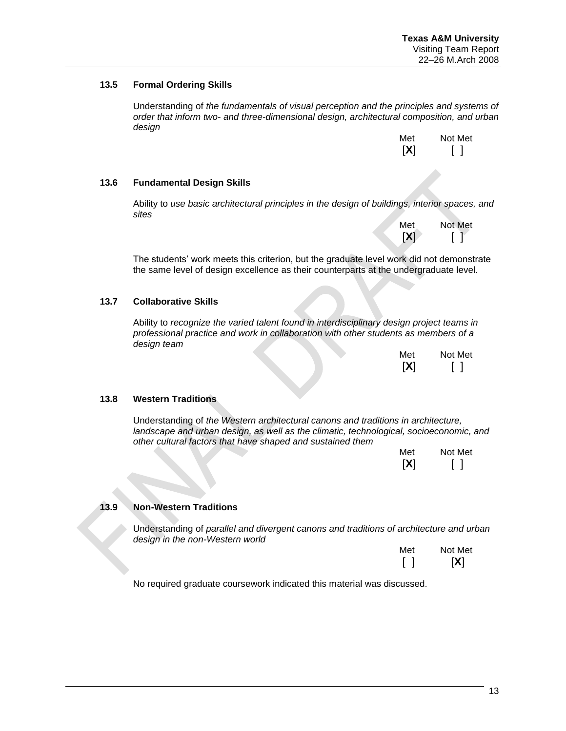#### **13.5 Formal Ordering Skills**

Understanding of *the fundamentals of visual perception and the principles and systems of order that inform two- and three-dimensional design, architectural composition, and urban design*

| Met | Not Met |
|-----|---------|
| [X] |         |

#### **13.6 Fundamental Design Skills**

Ability to *use basic architectural principles in the design of buildings, interior spaces, and sites*

| Met | Not Met |
|-----|---------|
| [X] |         |

The students' work meets this criterion, but the graduate level work did not demonstrate the same level of design excellence as their counterparts at the undergraduate level.

## **13.7 Collaborative Skills**

Ability to *recognize the varied talent found in interdisciplinary design project teams in professional practice and work in collaboration with other students as members of a design team*

| Met | Not Met |
|-----|---------|
| [X] |         |

#### **13.8 Western Traditions**

Understanding of *the Western architectural canons and traditions in architecture, landscape and urban design, as well as the climatic, technological, socioeconomic, and other cultural factors that have shaped and sustained them*

| Met | Not Met |
|-----|---------|
| [X] |         |

## **13.9 Non-Western Traditions**

Understanding of *parallel and divergent canons and traditions of architecture and urban design in the non-Western world*

| Met | Not Met |
|-----|---------|
|     | [X]     |

No required graduate coursework indicated this material was discussed.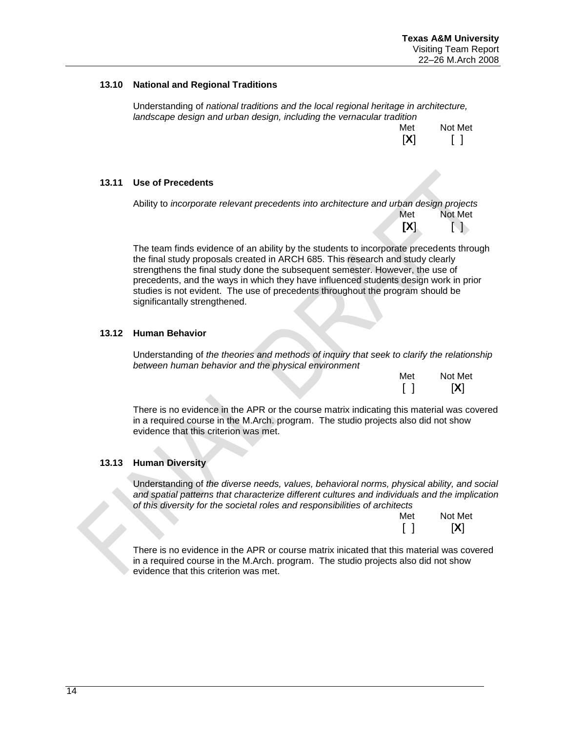#### **13.10 National and Regional Traditions**

Understanding of *national traditions and the local regional heritage in architecture, landscape design and urban design, including the vernacular tradition*

| Met | Not Met |  |
|-----|---------|--|
| [X] |         |  |

#### **13.11 Use of Precedents**

Ability to *incorporate relevant precedents into architecture and urban design projects* Met Not Met **[X**] [ ]

The team finds evidence of an ability by the students to incorporate precedents through the final study proposals created in ARCH 685. This research and study clearly strengthens the final study done the subsequent semester. However, the use of precedents, and the ways in which they have influenced students design work in prior studies is not evident. The use of precedents throughout the program should be significantally strengthened.

#### **13.12 Human Behavior**

Understanding of *the theories and methods of inquiry that seek to clarify the relationship between human behavior and the physical environment*

| Met | Not Met |
|-----|---------|
|     | [X]     |

There is no evidence in the APR or the course matrix indicating this material was covered in a required course in the M.Arch. program. The studio projects also did not show evidence that this criterion was met.

#### **13.13 Human Diversity**

Understanding of *the diverse needs, values, behavioral norms, physical ability, and social and spatial patterns that characterize different cultures and individuals and the implication of this diversity for the societal roles and responsibilities of architects*

| Met | Not Met |
|-----|---------|
|     | [X]     |

There is no evidence in the APR or course matrix inicated that this material was covered in a required course in the M.Arch. program. The studio projects also did not show evidence that this criterion was met.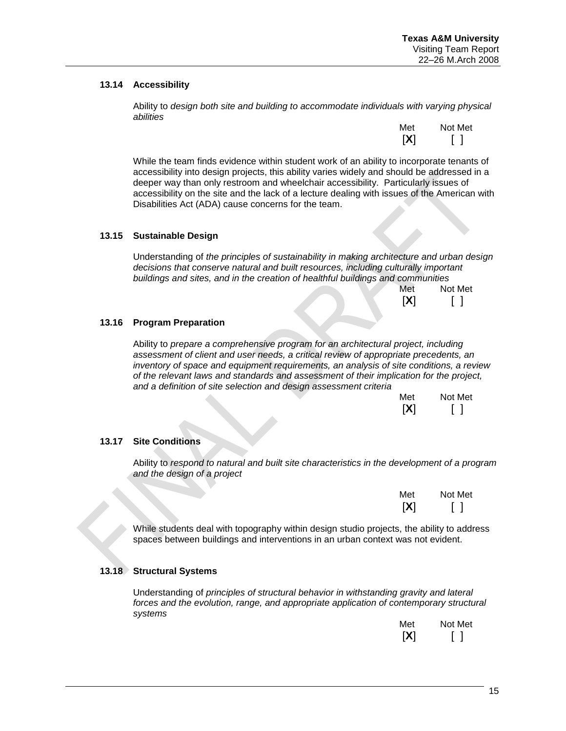#### **13.14 Accessibility**

Ability to *design both site and building to accommodate individuals with varying physical abilities*

| Met | Not Met |
|-----|---------|
| [X] |         |

While the team finds evidence within student work of an ability to incorporate tenants of accessibility into design projects, this ability varies widely and should be addressed in a deeper way than only restroom and wheelchair accessibility. Particularly issues of accessibility on the site and the lack of a lecture dealing with issues of the American with Disabilities Act (ADA) cause concerns for the team.

#### **13.15 Sustainable Design**

Understanding of *the principles of sustainability in making architecture and urban design decisions that conserve natural and built resources, including culturally important buildings and sites, and in the creation of healthful buildings and communities*

| Met | Not Met |
|-----|---------|
| [X] |         |

#### **13.16 Program Preparation**

Ability to *prepare a comprehensive program for an architectural project, including assessment of client and user needs, a critical review of appropriate precedents, an inventory of space and equipment requirements, an analysis of site conditions, a review of the relevant laws and standards and assessment of their implication for the project, and a definition of site selection and design assessment criteria*

| Met | Not Met |  |
|-----|---------|--|
| [X] |         |  |

## **13.17 Site Conditions**

Ability to *respond to natural and built site characteristics in the development of a program and the design of a project*

| Met | Not Met |
|-----|---------|
| [X] |         |

While students deal with topography within design studio projects, the ability to address spaces between buildings and interventions in an urban context was not evident.

#### **13.18 Structural Systems**

Understanding of *principles of structural behavior in withstanding gravity and lateral forces and the evolution, range, and appropriate application of contemporary structural systems*

| Met | Not Met |
|-----|---------|
| [X] |         |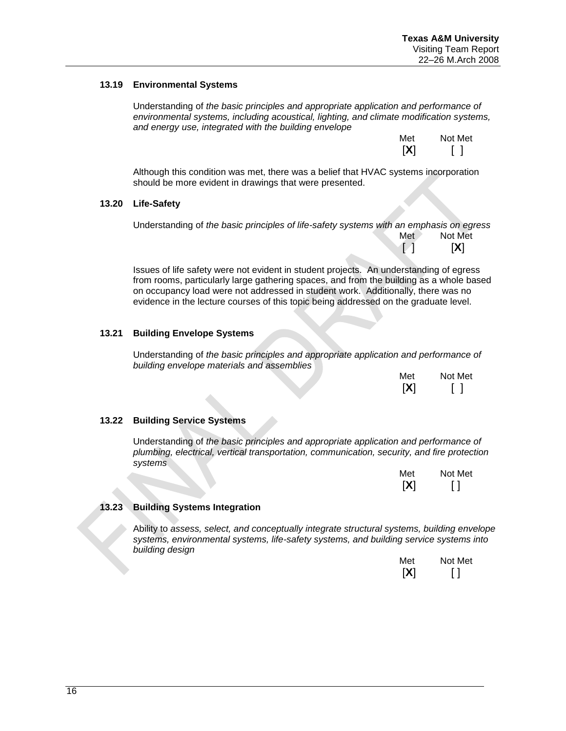#### **13.19 Environmental Systems**

| Understanding of the basic principles and appropriate application and performance of     |
|------------------------------------------------------------------------------------------|
| environmental systems, including acoustical, lighting, and climate modification systems, |
| and energy use, integrated with the building envelope                                    |

| Met | Not Met |
|-----|---------|
| [X] |         |

 $\begin{bmatrix} 1 & \mathbf{X} \end{bmatrix}$ 

Although this condition was met, there was a belief that HVAC systems incorporation should be more evident in drawings that were presented.

#### **13.20 Life-Safety**

Understanding of *the basic principles of life-safety systems with an emphasis on egress* Met Not Met

Issues of life safety were not evident in student projects. An understanding of egress from rooms, particularly large gathering spaces, and from the building as a whole based on occupancy load were not addressed in student work. Additionally, there was no evidence in the lecture courses of this topic being addressed on the graduate level.

#### **13.21 Building Envelope Systems**

Understanding of *the basic principles and appropriate application and performance of building envelope materials and assemblies*

| Met | Not Met |
|-----|---------|
| [X] |         |

#### **13.22 Building Service Systems**

Understanding of *the basic principles and appropriate application and performance of plumbing, electrical, vertical transportation, communication, security, and fire protection systems*

| Met | Not Met |
|-----|---------|
| [X] |         |

## **13.23 Building Systems Integration**

Ability to *assess, select, and conceptually integrate structural systems, building envelope systems, environmental systems, life-safety systems, and building service systems into building design*

| Met | Not Met |
|-----|---------|
| [X] | I l     |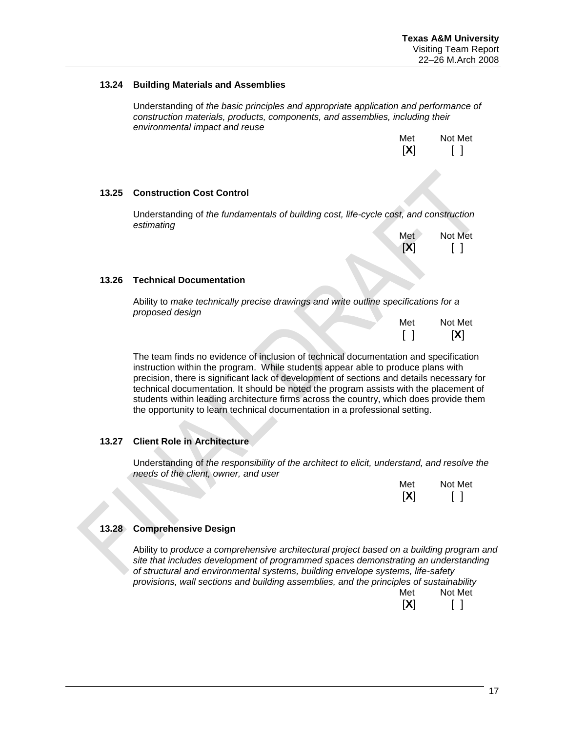#### **13.24 Building Materials and Assemblies**

Understanding of *the basic principles and appropriate application and performance of construction materials, products, components, and assemblies, including their environmental impact and reuse*

| Met | Not Met |
|-----|---------|
| [X] |         |

## **13.25 Construction Cost Control**

Understanding of *the fundamentals of building cost, life-cycle cost, and construction estimating*

| Met | Not Met |
|-----|---------|
| [X] |         |

#### **13.26 Technical Documentation**

Ability to *make technically precise drawings and write outline specifications for a proposed design*

| Met | Not Met |
|-----|---------|
|     | [X]     |

The team finds no evidence of inclusion of technical documentation and specification instruction within the program. While students appear able to produce plans with precision, there is significant lack of development of sections and details necessary for technical documentation. It should be noted the program assists with the placement of students within leading architecture firms across the country, which does provide them the opportunity to learn technical documentation in a professional setting.

## **13.27 Client Role in Architecture**

Understanding of *the responsibility of the architect to elicit, understand, and resolve the needs of the client, owner, and user*

| Met | Not Met |
|-----|---------|
| [X] |         |

## **13.28 Comprehensive Design**

Ability to *produce a comprehensive architectural project based on a building program and site that includes development of programmed spaces demonstrating an understanding of structural and environmental systems, building envelope systems, life-safety provisions, wall sections and building assemblies, and the principles of sustainability* Met

| viet | inot iviet |
|------|------------|
| [X]  |            |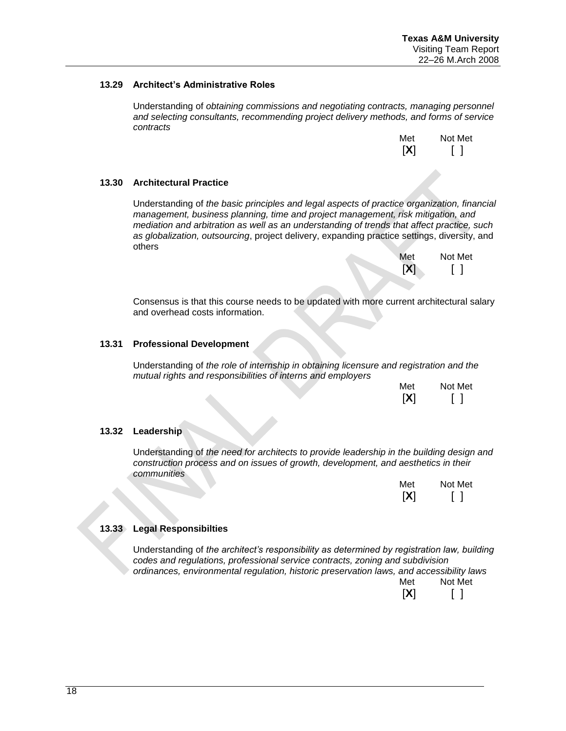#### **13.29 Architect's Administrative Roles**

Understanding of *obtaining commissions and negotiating contracts, managing personnel and selecting consultants, recommending project delivery methods, and forms of service contracts*

| Met | Not Met |
|-----|---------|
| [X] |         |

#### **13.30 Architectural Practice**

Understanding of *the basic principles and legal aspects of practice organization, financial management, business planning, time and project management, risk mitigation, and mediation and arbitration as well as an understanding of trends that affect practice, such as globalization, outsourcing*, project delivery, expanding practice settings, diversity, and others

| Met | Not Met |
|-----|---------|
| [X] |         |

Consensus is that this course needs to be updated with more current architectural salary and overhead costs information.

#### **13.31 Professional Development**

Understanding of *the role of internship in obtaining licensure and registration and the mutual rights and responsibilities of interns and employers*

| Met | Not Met |
|-----|---------|
| [X] |         |

#### **13.32 Leadership**

Understanding of *the need for architects to provide leadership in the building design and construction process and on issues of growth, development, and aesthetics in their communities*

| Met | Not Met |
|-----|---------|
| [X] |         |

#### **13.33 Legal Responsibilties**

Understanding of *the architect's responsibility as determined by registration law, building codes and regulations, professional service contracts, zoning and subdivision ordinances, environmental regulation, historic preservation laws, and accessibility laws* Met Not Met

| [X] |  |
|-----|--|
|     |  |
|     |  |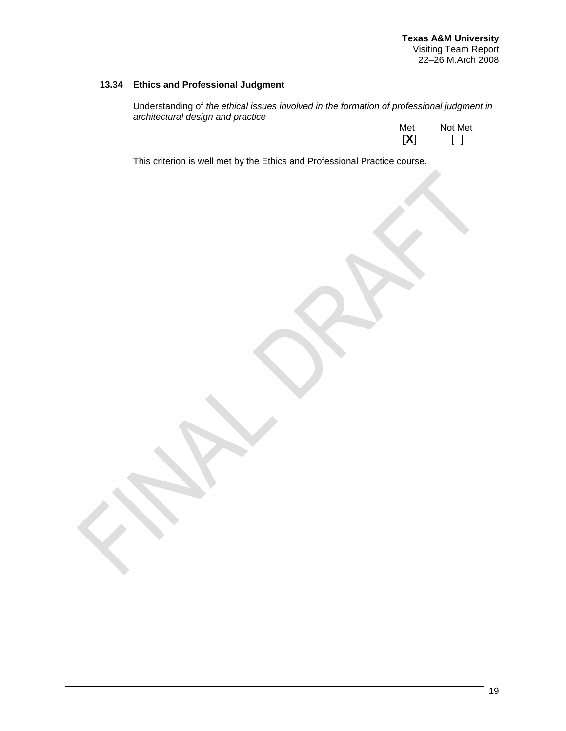## **13.34 Ethics and Professional Judgment**

Understanding of *the ethical issues involved in the formation of professional judgment in architectural design and practice*

| Met | Not Met |
|-----|---------|
| [X] |         |

This criterion is well met by the Ethics and Professional Practice course.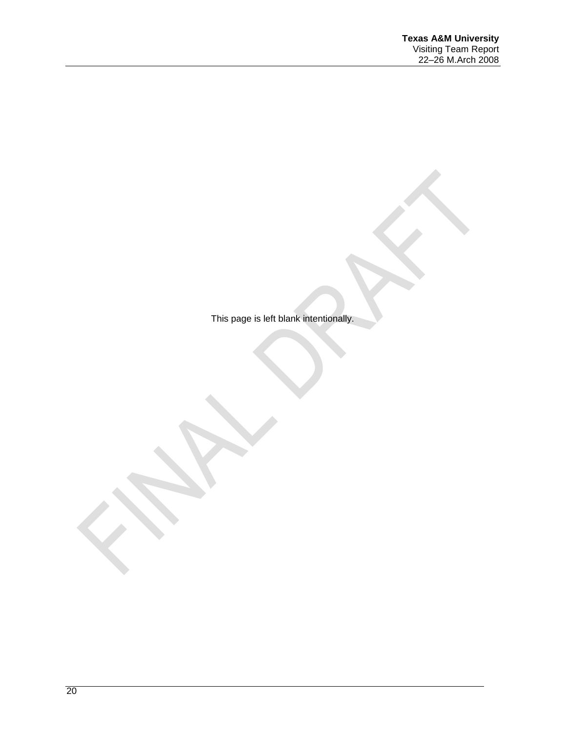This page is left blank intentionally.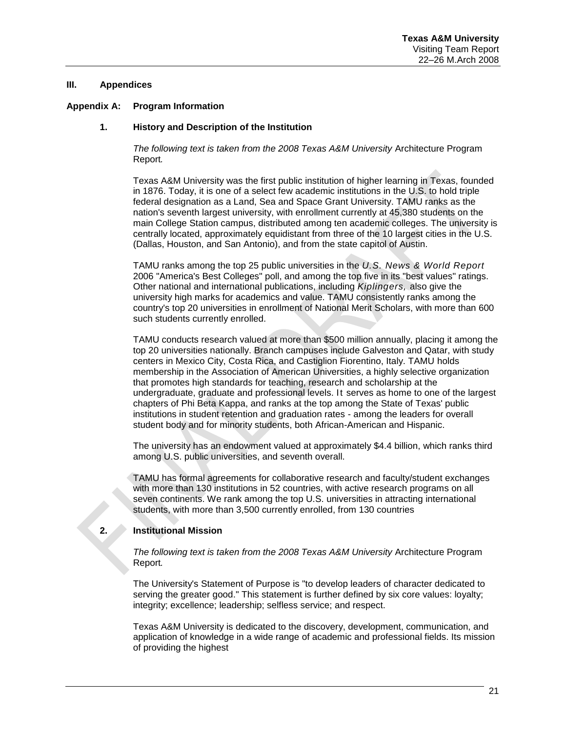#### **III. Appendices**

#### **Appendix A: Program Information**

#### **1. History and Description of the Institution**

*The following text is taken from the 2008 Texas A&M University* Architecture Program Report*.*

Texas A&M University was the first public institution of higher learning in Texas, founded in 1876. Today, it is one of a select few academic institutions in the U.S. to hold triple federal designation as a Land, Sea and Space Grant University. TAMU ranks as the nation's seventh largest university, with enrollment currently at 45,380 students on the main College Station campus, distributed among ten academic colleges. The university is centrally located, approximately equidistant from three of the 10 largest cities in the U.S. (Dallas, Houston, and San Antonio), and from the state capitol of Austin.

TAMU ranks among the top 25 public universities in the *U.S. News & World Report*  2006 "America's Best Colleges" poll, and among the top five in its "best values" ratings. Other national and international publications, including *Kiplingers,* also give the university high marks for academics and value. TAMU consistently ranks among the country's top 20 universities in enrollment of National Merit Scholars, with more than 600 such students currently enrolled.

TAMU conducts research valued at more than \$500 million annually, placing it among the top 20 universities nationally. Branch campuses include Galveston and Qatar, with study centers in Mexico City, Costa Rica, and Castiglion Fiorentino, Italy. TAMU holds membership in the Association of American Universities, a highly selective organization that promotes high standards for teaching, research and scholarship at the undergraduate, graduate and professional levels. It serves as home to one of the largest chapters of Phi Beta Kappa, and ranks at the top among the State of Texas' public institutions in student retention and graduation rates - among the leaders for overall student body and for minority students, both African-American and Hispanic.

The university has an endowment valued at approximately \$4.4 billion, which ranks third among U.S. public universities, and seventh overall.

TAMU has formal agreements for collaborative research and faculty/student exchanges with more than 130 institutions in 52 countries, with active research programs on all seven continents. We rank among the top U.S. universities in attracting international students, with more than 3,500 currently enrolled, from 130 countries

## **2. Institutional Mission**

*The following text is taken from the 2008 Texas A&M University* Architecture Program Report*.*

The University's Statement of Purpose is "to develop leaders of character dedicated to serving the greater good." This statement is further defined by six core values: loyalty; integrity; excellence; leadership; selfless service; and respect.

Texas A&M University is dedicated to the discovery, development, communication, and application of knowledge in a wide range of academic and professional fields. Its mission of providing the highest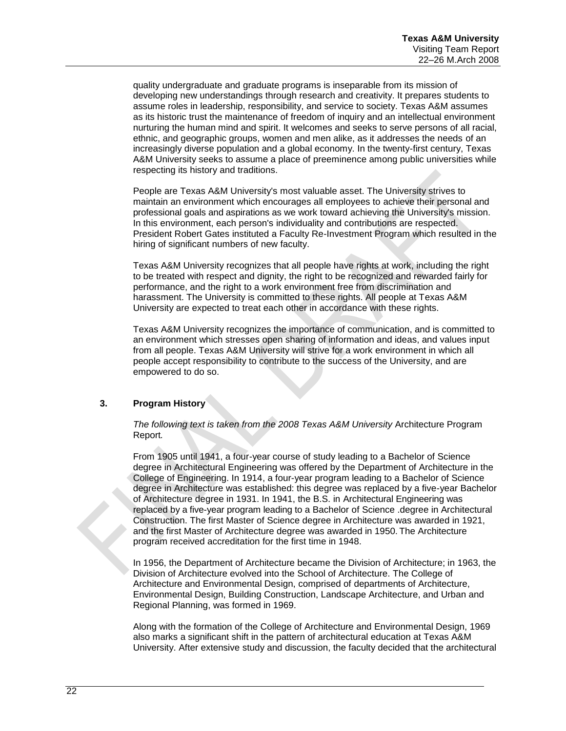quality undergraduate and graduate programs is inseparable from its mission of developing new understandings through research and creativity. It prepares students to assume roles in leadership, responsibility, and service to society. Texas A&M assumes as its historic trust the maintenance of freedom of inquiry and an intellectual environment nurturing the human mind and spirit. It welcomes and seeks to serve persons of all racial, ethnic, and geographic groups, women and men alike, as it addresses the needs of an increasingly diverse population and a global economy. In the twenty-first century, Texas A&M University seeks to assume a place of preeminence among public universities while respecting its history and traditions.

People are Texas A&M University's most valuable asset. The University strives to maintain an environment which encourages all employees to achieve their personal and professional goals and aspirations as we work toward achieving the University's mission. In this environment, each person's individuality and contributions are respected. President Robert Gates instituted a Faculty Re-Investment Program which resulted in the hiring of significant numbers of new faculty.

Texas A&M University recognizes that all people have rights at work, including the right to be treated with respect and dignity, the right to be recognized and rewarded fairly for performance, and the right to a work environment free from discrimination and harassment. The University is committed to these rights. All people at Texas A&M University are expected to treat each other in accordance with these rights.

Texas A&M University recognizes the importance of communication, and is committed to an environment which stresses open sharing of information and ideas, and values input from all people. Texas A&M University will strive for a work environment in which all people accept responsibility to contribute to the success of the University, and are empowered to do so.

#### **3. Program History**

*The following text is taken from the 2008 Texas A&M University* Architecture Program Report*.*

From 1905 until 1941, a four-year course of study leading to a Bachelor of Science degree in Architectural Engineering was offered by the Department of Architecture in the College of Engineering. In 1914, a four-year program leading to a Bachelor of Science degree in Architecture was established: this degree was replaced by a five-year Bachelor of Architecture degree in 1931. In 1941, the B.S. in Architectural Engineering was replaced by a five-year program leading to a Bachelor of Science .degree in Architectural Construction. The first Master of Science degree in Architecture was awarded in 1921, and the first Master of Architecture degree was awarded in 1950. The Architecture program received accreditation for the first time in 1948.

In 1956, the Department of Architecture became the Division of Architecture; in 1963, the Division of Architecture evolved into the School of Architecture. The College of Architecture and Environmental Design, comprised of departments of Architecture, Environmental Design, Building Construction, Landscape Architecture, and Urban and Regional Planning, was formed in 1969.

Along with the formation of the College of Architecture and Environmental Design, 1969 also marks a significant shift in the pattern of architectural education at Texas A&M University. After extensive study and discussion, the faculty decided that the architectural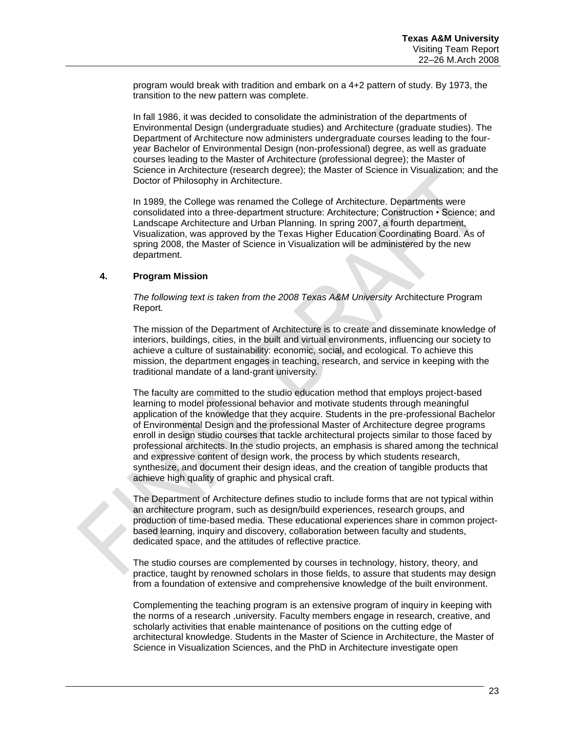program would break with tradition and embark on a 4+2 pattern of study. By 1973, the transition to the new pattern was complete.

In fall 1986, it was decided to consolidate the administration of the departments of Environmental Design (undergraduate studies) and Architecture (graduate studies). The Department of Architecture now administers undergraduate courses leading to the fouryear Bachelor of Environmental Design (non-professional) degree, as well as graduate courses leading to the Master of Architecture (professional degree); the Master of Science in Architecture (research degree); the Master of Science in Visualization; and the Doctor of Philosophy in Architecture.

In 1989, the College was renamed the College of Architecture. Departments were consolidated into a three-department structure: Architecture; Construction • Science; and Landscape Architecture and Urban Planning. In spring 2007, a fourth department, Visualization, was approved by the Texas Higher Education Coordinating Board. As of spring 2008, the Master of Science in Visualization will be administered by the new department.

#### **4. Program Mission**

*The following text is taken from the 2008 Texas A&M University* Architecture Program Report*.*

The mission of the Department of Architecture is to create and disseminate knowledge of interiors, buildings, cities, in the built and virtual environments, influencing our society to achieve a culture of sustainability: economic, social, and ecological. To achieve this mission, the department engages in teaching, research, and service in keeping with the traditional mandate of a land-grant university.

The faculty are committed to the studio education method that employs project-based learning to model professional behavior and motivate students through meaningful application of the knowledge that they acquire. Students in the pre-professional Bachelor of Environmental Design and the professional Master of Architecture degree programs enroll in design studio courses that tackle architectural projects similar to those faced by professional architects. In the studio projects, an emphasis is shared among the technical and expressive content of design work, the process by which students research, synthesize, and document their design ideas, and the creation of tangible products that achieve high quality of graphic and physical craft.

The Department of Architecture defines studio to include forms that are not typical within an architecture program, such as design/build experiences, research groups, and production of time-based media. These educational experiences share in common projectbased learning, inquiry and discovery, collaboration between faculty and students, dedicated space, and the attitudes of reflective practice.

The studio courses are complemented by courses in technology, history, theory, and practice, taught by renowned scholars in those fields, to assure that students may design from a foundation of extensive and comprehensive knowledge of the built environment.

Complementing the teaching program is an extensive program of inquiry in keeping with the norms of a research ,university. Faculty members engage in research, creative, and scholarly activities that enable maintenance of positions on the cutting edge of architectural knowledge. Students in the Master of Science in Architecture, the Master of Science in Visualization Sciences, and the PhD in Architecture investigate open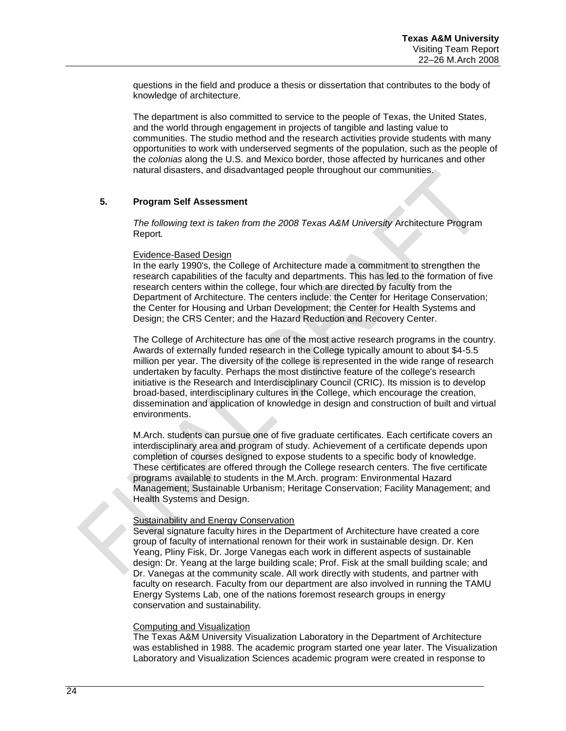questions in the field and produce a thesis or dissertation that contributes to the body of knowledge of architecture.

The department is also committed to service to the people of Texas, the United States, and the world through engagement in projects of tangible and lasting value to communities. The studio method and the research activities provide students with many opportunities to work with underserved segments of the population, such as the people of the *colonias* along the U.S. and Mexico border, those affected by hurricanes and other natural disasters, and disadvantaged people throughout our communities.

#### **5. Program Self Assessment**

*The following text is taken from the 2008 Texas A&M University* Architecture Program Report*.*

#### Evidence-Based Design

In the early 1990's, the College of Architecture made a commitment to strengthen the research capabilities of the faculty and departments. This has led to the formation of five research centers within the college, four which are directed by faculty from the Department of Architecture. The centers include: the Center for Heritage Conservation; the Center for Housing and Urban Development; the Center for Health Systems and Design; the CRS Center; and the Hazard Reduction and Recovery Center.

The College of Architecture has one of the most active research programs in the country. Awards of externally funded research in the College typically amount to about \$4-5.5 million per year. The diversity of the college is represented in the wide range of research undertaken by faculty. Perhaps the most distinctive feature of the college's research initiative is the Research and Interdisciplinary Council (CRIC). Its mission is to develop broad-based, interdisciplinary cultures in the College, which encourage the creation, dissemination and application of knowledge in design and construction of built and virtual environments.

M.Arch. students can pursue one of five graduate certificates. Each certificate covers an interdisciplinary area and program of study. Achievement of a certificate depends upon completion of courses designed to expose students to a specific body of knowledge. These certificates are offered through the College research centers. The five certificate programs available to students in the M.Arch. program: Environmental Hazard Management; Sustainable Urbanism; Heritage Conservation; Facility Management; and Health Systems and Design.

#### Sustainability and Energy Conservation

Several signature faculty hires in the Department of Architecture have created a core group of faculty of international renown for their work in sustainable design. Dr. Ken Yeang, Pliny Fisk, Dr. Jorge Vanegas each work in different aspects of sustainable design: Dr. Yeang at the large building scale; Prof. Fisk at the small building scale; and Dr. Vanegas at the community scale. All work directly with students, and partner with faculty on research. Faculty from our department are also involved in running the TAMU Energy Systems Lab, one of the nations foremost research groups in energy conservation and sustainability.

#### Computing and Visualization

The Texas A&M University Visualization Laboratory in the Department of Architecture was established in 1988. The academic program started one year later. The Visualization Laboratory and Visualization Sciences academic program were created in response to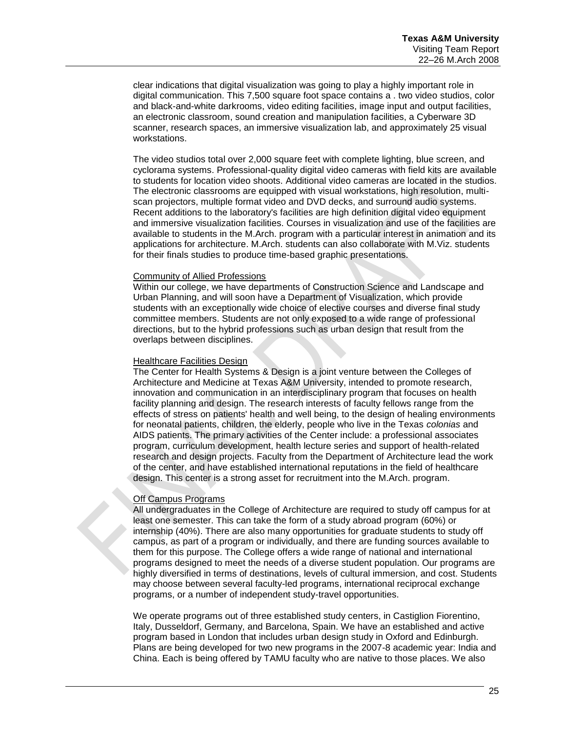clear indications that digital visualization was going to play a highly important role in digital communication. This 7,500 square foot space contains a . two video studios, color and black-and-white darkrooms, video editing facilities, image input and output facilities, an electronic classroom, sound creation and manipulation facilities, a Cyberware 3D scanner, research spaces, an immersive visualization lab, and approximately 25 visual workstations.

The video studios total over 2,000 square feet with complete lighting, blue screen, and cyclorama systems. Professional-quality digital video cameras with field kits are available to students for location video shoots. Additional video cameras are located in the studios. The electronic classrooms are equipped with visual workstations, high resolution, multiscan projectors, multiple format video and DVD decks, and surround audio systems. Recent additions to the laboratory's facilities are high definition digital video equipment and immersive visualization facilities. Courses in visualization and use of the facilities are available to students in the M.Arch. program with a particular interest in animation and its applications for architecture. M.Arch. students can also collaborate with M.Viz. students for their finals studies to produce time-based graphic presentations.

#### Community of Allied Professions

Within our college, we have departments of Construction Science and Landscape and Urban Planning, and will soon have a Department of Visualization, which provide students with an exceptionally wide choice of elective courses and diverse final study committee members. Students are not only exposed to a wide range of professional directions, but to the hybrid professions such as urban design that result from the overlaps between disciplines.

#### Healthcare Facilities Design

The Center for Health Systems & Design is a joint venture between the Colleges of Architecture and Medicine at Texas A&M University, intended to promote research, innovation and communication in an interdisciplinary program that focuses on health facility planning and design. The research interests of faculty fellows range from the effects of stress on patients' health and well being, to the design of healing environments for neonatal patients, children, the elderly, people who live in the Texas *colonias* and AIDS patients. The primary activities of the Center include: a professional associates program, curriculum development, health lecture series and support of health-related research and design projects. Faculty from the Department of Architecture lead the work of the center, and have established international reputations in the field of healthcare design. This center is a strong asset for recruitment into the M.Arch. program.

#### Off Campus Programs

All undergraduates in the College of Architecture are required to study off campus for at least one semester. This can take the form of a study abroad program (60%) or internship (40%). There are also many opportunities for graduate students to study off campus, as part of a program or individually, and there are funding sources available to them for this purpose. The College offers a wide range of national and international programs designed to meet the needs of a diverse student population. Our programs are highly diversified in terms of destinations, levels of cultural immersion, and cost. Students may choose between several faculty-led programs, international reciprocal exchange programs, or a number of independent study-travel opportunities.

We operate programs out of three established study centers, in Castiglion Fiorentino, Italy, Dusseldorf, Germany, and Barcelona, Spain. We have an established and active program based in London that includes urban design study in Oxford and Edinburgh. Plans are being developed for two new programs in the 2007-8 academic year: India and China. Each is being offered by TAMU faculty who are native to those places. We also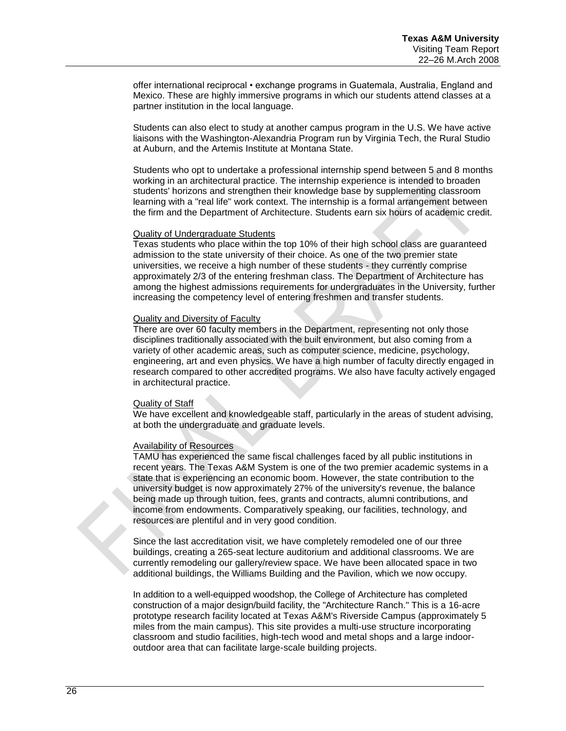offer international reciprocal • exchange programs in Guatemala, Australia, England and Mexico. These are highly immersive programs in which our students attend classes at a partner institution in the local language.

Students can also elect to study at another campus program in the U.S. We have active liaisons with the Washington-Alexandria Program run by Virginia Tech, the Rural Studio at Auburn, and the Artemis Institute at Montana State.

Students who opt to undertake a professional internship spend between 5 and 8 months working in an architectural practice. The internship experience is intended to broaden students' horizons and strengthen their knowledge base by supplementing classroom learning with a "real life" work context. The internship is a formal arrangement between the firm and the Department of Architecture. Students earn six hours of academic credit.

#### Quality of Undergraduate Students

Texas students who place within the top 10% of their high school class are guaranteed admission to the state university of their choice. As one of the two premier state universities, we receive a high number of these students - they currently comprise approximately 2/3 of the entering freshman class. The Department of Architecture has among the highest admissions requirements for undergraduates in the University, further increasing the competency level of entering freshmen and transfer students.

#### Quality and Diversity of Faculty

There are over 60 faculty members in the Department, representing not only those disciplines traditionally associated with the built environment, but also coming from a variety of other academic areas, such as computer science, medicine, psychology, engineering, art and even physics. We have a high number of faculty directly engaged in research compared to other accredited programs. We also have faculty actively engaged in architectural practice.

#### Quality of Staff

We have excellent and knowledgeable staff, particularly in the areas of student advising, at both the undergraduate and graduate levels.

#### Availability of Resources

TAMU has experienced the same fiscal challenges faced by all public institutions in recent years. The Texas A&M System is one of the two premier academic systems in a state that is experiencing an economic boom. However, the state contribution to the university budget is now approximately 27% of the university's revenue, the balance being made up through tuition, fees, grants and contracts, alumni contributions, and income from endowments. Comparatively speaking, our facilities, technology, and resources are plentiful and in very good condition.

Since the last accreditation visit, we have completely remodeled one of our three buildings, creating a 265-seat lecture auditorium and additional classrooms. We are currently remodeling our gallery/review space. We have been allocated space in two additional buildings, the Williams Building and the Pavilion, which we now occupy.

In addition to a well-equipped woodshop, the College of Architecture has completed construction of a major design/build facility, the "Architecture Ranch." This is a 16-acre prototype research facility located at Texas A&M's Riverside Campus (approximately 5 miles from the main campus). This site provides a multi-use structure incorporating classroom and studio facilities, high-tech wood and metal shops and a large indooroutdoor area that can facilitate large-scale building projects.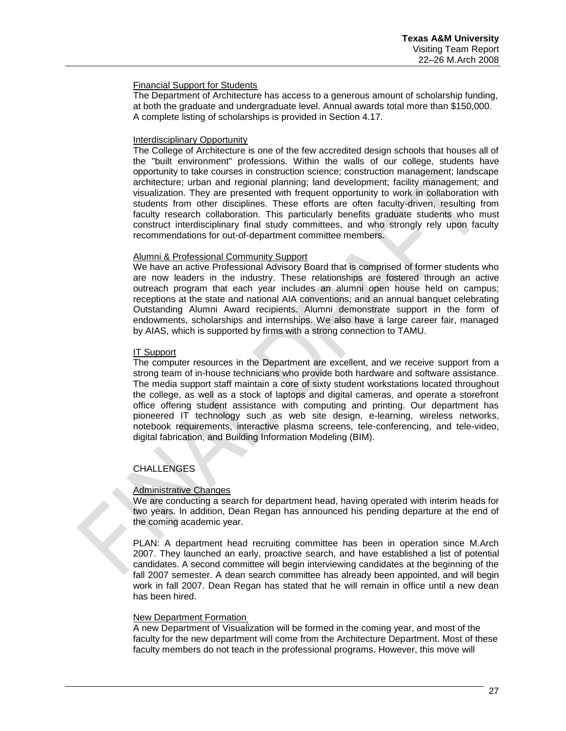#### Financial Support for Students

The Department of Architecture has access to a generous amount of scholarship funding, at both the graduate and undergraduate level. Annual awards total more than \$150,000. A complete listing of scholarships is provided in Section 4.17.

#### Interdisciplinary Opportunity

The College of Architecture is one of the few accredited design schools that houses all of the "built environment" professions. Within the walls of our college, students have opportunity to take courses in construction science; construction management; landscape architecture; urban and regional planning; land development; facility management; and visualization. They are presented with frequent opportunity to work in collaboration with students from other disciplines. These efforts are often faculty-driven, resulting from faculty research collaboration. This particularly benefits graduate students who must construct interdisciplinary final study committees, and who strongly rely upon faculty recommendations for out-of-department committee members.

#### **Alumni & Professional Community Support**

We have an active Professional Advisory Board that is comprised of former students who are now leaders in the industry. These relationships are fostered through an active outreach program that each year includes an alumni open house held on campus; receptions at the state and national AIA conventions; and an annual banquet celebrating Outstanding Alumni Award recipients. Alumni demonstrate support in the form of endowments, scholarships and internships. We also have a large career fair, managed by AIAS, which is supported by firms with a strong connection to TAMU.

#### IT Support

The computer resources in the Department are excellent, and we receive support from a strong team of in-house technicians who provide both hardware and software assistance. The media support staff maintain a core of sixty student workstations located throughout the college, as well as a stock of laptops and digital cameras, and operate a storefront office offering student assistance with computing and printing. Our department has pioneered IT technology such as web site design, e-learning, wireless networks, notebook requirements, interactive plasma screens, tele-conferencing, and tele-video, digital fabrication, and Building Information Modeling (BIM).

## **CHALLENGES**

#### Administrative Changes

We are conducting a search for department head, having operated with interim heads for two years. In addition, Dean Regan has announced his pending departure at the end of the coming academic year.

PLAN: A department head recruiting committee has been in operation since M.Arch 2007. They launched an early, proactive search, and have established a list of potential candidates. A second committee will begin interviewing candidates at the beginning of the fall 2007 semester. A dean search committee has already been appointed, and will begin work in fall 2007. Dean Regan has stated that he will remain in office until a new dean has been hired.

#### New Department Formation,

A new Department of Visualization will be formed in the coming year, and most of the faculty for the new department will come from the Architecture Department. Most of these faculty members do not teach in the professional programs. However, this move will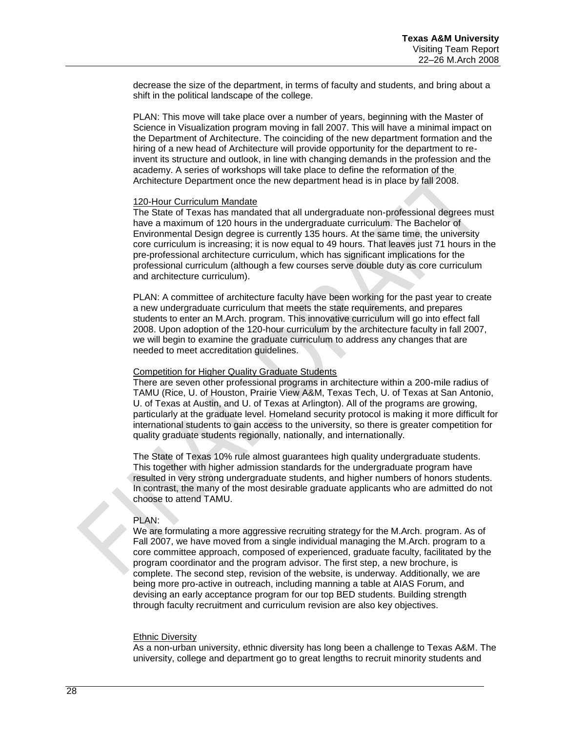decrease the size of the department, in terms of faculty and students, and bring about a shift in the political landscape of the college.

PLAN: This move will take place over a number of years, beginning with the Master of Science in Visualization program moving in fall 2007. This will have a minimal impact on the Department of Architecture. The coinciding of the new department formation and the hiring of a new head of Architecture will provide opportunity for the department to reinvent its structure and outlook, in line with changing demands in the profession and the academy. A series of workshops will take place to define the reformation of the. Architecture Department once the new department head is in place by fall 2008.

#### 120-Hour Curriculum Mandate

The State of Texas has mandated that all undergraduate non-professional degrees must have a maximum of 120 hours in the undergraduate curriculum. The Bachelor of Environmental Design degree is currently 135 hours. At the same time, the university core curriculum is increasing; it is now equal to 49 hours. That leaves just 71 hours in the pre-professional architecture curriculum, which has significant implications for the professional curriculum (although a few courses serve double duty as core curriculum and architecture curriculum).

PLAN: A committee of architecture faculty have been working for the past year to create a new undergraduate curriculum that meets the state requirements, and prepares students to enter an M.Arch. program. This innovative curriculum will go into effect fall 2008. Upon adoption of the 120-hour curriculum by the architecture faculty in fall 2007, we will begin to examine the graduate curriculum to address any changes that are needed to meet accreditation guidelines.

#### Competition for Higher Quality Graduate Students

There are seven other professional programs in architecture within a 200-mile radius of TAMU (Rice, U. of Houston, Prairie View A&M, Texas Tech, U. of Texas at San Antonio, U. of Texas at Austin, and U. of Texas at Arlington). All of the programs are growing, particularly at the graduate level. Homeland security protocol is making it more difficult for international students to gain access to the university, so there is greater competition for quality graduate students regionally, nationally, and internationally.

The State of Texas 10% rule almost guarantees high quality undergraduate students. This together with higher admission standards for the undergraduate program have resulted in very strong undergraduate students, and higher numbers of honors students. In contrast, the many of the most desirable graduate applicants who are admitted do not choose to attend TAMU.

#### PLAN<sup>.</sup>

We are formulating a more aggressive recruiting strategy for the M.Arch. program. As of Fall 2007, we have moved from a single individual managing the M.Arch. program to a core committee approach, composed of experienced, graduate faculty, facilitated by the program coordinator and the program advisor. The first step, a new brochure, is complete. The second step, revision of the website, is underway. Additionally, we are being more pro-active in outreach, including manning a table at AIAS Forum, and devising an early acceptance program for our top BED students. Building strength through faculty recruitment and curriculum revision are also key objectives.

#### Ethnic Diversity

As a non-urban university, ethnic diversity has long been a challenge to Texas A&M. The university, college and department go to great lengths to recruit minority students and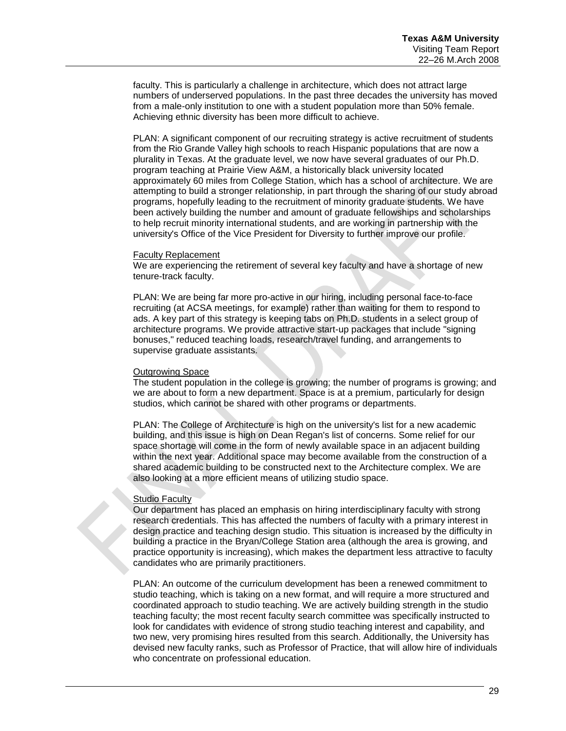faculty. This is particularly a challenge in architecture, which does not attract large numbers of underserved populations. In the past three decades the university has moved from a male-only institution to one with a student population more than 50% female. Achieving ethnic diversity has been more difficult to achieve.

PLAN: A significant component of our recruiting strategy is active recruitment of students from the Rio Grande Valley high schools to reach Hispanic populations that are now a plurality in Texas. At the graduate level, we now have several graduates of our Ph.D. program teaching at Prairie View A&M, a historically black university located approximately 60 miles from College Station, which has a school of architecture. We are attempting to build a stronger relationship, in part through the sharing of our study abroad programs, hopefully leading to the recruitment of minority graduate students. We have been actively building the number and amount of graduate fellowships and scholarships to help recruit minority international students, and are working in partnership with the university's Office of the Vice President for Diversity to further improve our profile.

#### Faculty Replacement

We are experiencing the retirement of several key faculty and have a shortage of new tenure-track faculty.

PLAN: We are being far more pro-active in our hiring, including personal face-to-face recruiting (at ACSA meetings, for example) rather than waiting for them to respond to ads. A key part of this strategy is keeping tabs on Ph.D. students in a select group of architecture programs. We provide attractive start-up packages that include "signing bonuses," reduced teaching loads, research/travel funding, and arrangements to supervise graduate assistants.

#### Outgrowing Space

The student population in the college is growing; the number of programs is growing; and we are about to form a new department. Space is at a premium, particularly for design studios, which cannot be shared with other programs or departments.

PLAN: The College of Architecture is high on the university's list for a new academic building, and this issue is high on Dean Regan's list of concerns. Some relief for our space shortage will come in the form of newly available space in an adjacent building within the next year. Additional space may become available from the construction of a shared academic building to be constructed next to the Architecture complex. We are also looking at a more efficient means of utilizing studio space.

#### Studio Faculty

Our department has placed an emphasis on hiring interdisciplinary faculty with strong research credentials. This has affected the numbers of faculty with a primary interest in design practice and teaching design studio. This situation is increased by the difficulty in building a practice in the Bryan/College Station area (although the area is growing, and practice opportunity is increasing), which makes the department less attractive to faculty candidates who are primarily practitioners.

PLAN: An outcome of the curriculum development has been a renewed commitment to studio teaching, which is taking on a new format, and will require a more structured and coordinated approach to studio teaching. We are actively building strength in the studio teaching faculty; the most recent faculty search committee was specifically instructed to look for candidates with evidence of strong studio teaching interest and capability, and two new, very promising hires resulted from this search. Additionally, the University has devised new faculty ranks, such as Professor of Practice, that will allow hire of individuals who concentrate on professional education.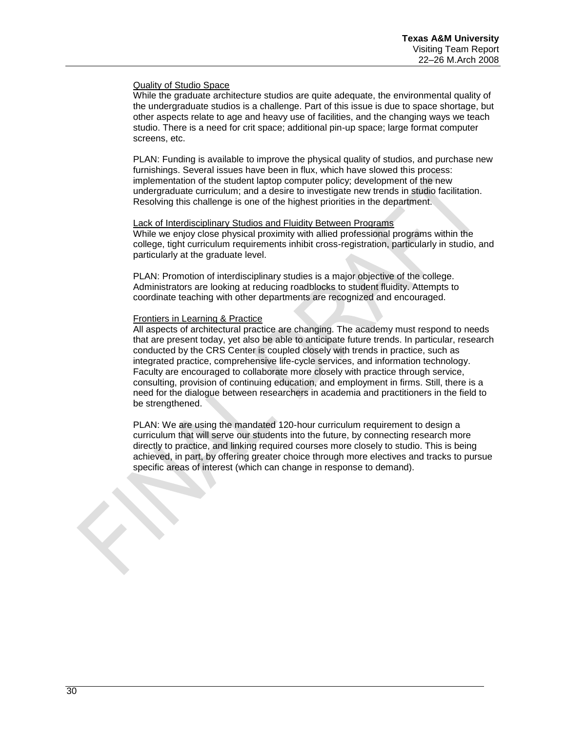#### Quality of Studio Space

While the graduate architecture studios are quite adequate, the environmental quality of the undergraduate studios is a challenge. Part of this issue is due to space shortage, but other aspects relate to age and heavy use of facilities, and the changing ways we teach studio. There is a need for crit space; additional pin-up space; large format computer screens, etc.

PLAN: Funding is available to improve the physical quality of studios, and purchase new furnishings. Several issues have been in flux, which have slowed this process: implementation of the student laptop computer policy; development of the new undergraduate curriculum; and a desire to investigate new trends in studio facilitation. Resolving this challenge is one of the highest priorities in the department.

#### Lack of Interdisciplinary Studios and Fluidity Between Programs

While we enjoy close physical proximity with allied professional programs within the college, tight curriculum requirements inhibit cross-registration, particularly in studio, and particularly at the graduate level.

PLAN: Promotion of interdisciplinary studies is a major objective of the college. Administrators are looking at reducing roadblocks to student fluidity. Attempts to coordinate teaching with other departments are recognized and encouraged.

#### Frontiers in Learning & Practice

All aspects of architectural practice are changing. The academy must respond to needs that are present today, yet also be able to anticipate future trends. In particular, research conducted by the CRS Center is coupled closely with trends in practice, such as integrated practice, comprehensive life-cycle services, and information technology. Faculty are encouraged to collaborate more closely with practice through service, consulting, provision of continuing education, and employment in firms. Still, there is a need for the dialogue between researchers in academia and practitioners in the field to be strengthened.

PLAN: We are using the mandated 120-hour curriculum requirement to design a curriculum that will serve our students into the future, by connecting research more directly to practice, and linking required courses more closely to studio. This is being achieved, in part, by offering greater choice through more electives and tracks to pursue specific areas of interest (which can change in response to demand).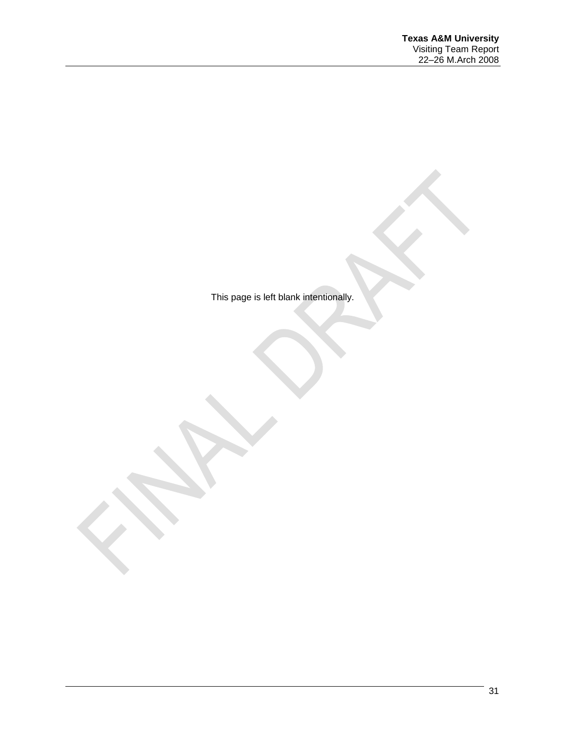This page is left blank intentionally.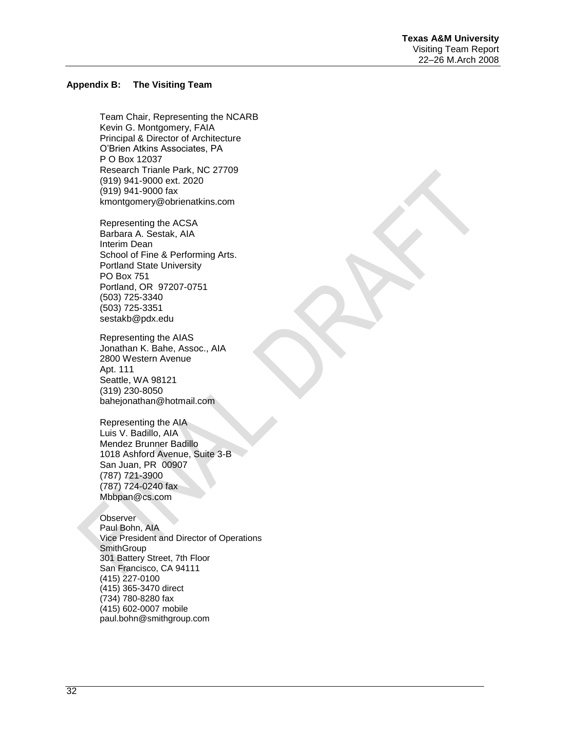#### **Appendix B: The Visiting Team**

Team Chair, Representing the NCARB Kevin G. Montgomery, FAIA Principal & Director of Architecture O'Brien Atkins Associates, PA P O Box 12037 Research Trianle Park, NC 27709 (919) 941-9000 ext. 2020 (919) 941-9000 fax kmontgomery@obrienatkins.com

Representing the ACSA Barbara A. Sestak, AIA Interim Dean School of Fine & Performing Arts. Portland State University PO Box 751 Portland, OR 97207-0751 (503) 725-3340 (503) 725-3351 sestakb@pdx.edu

Representing the AIAS Jonathan K. Bahe, Assoc., AIA 2800 Western Avenue Apt. 111 Seattle, WA 98121 (319) 230-8050 bahejonathan@hotmail.com

Representing the AIA Luis V. Badillo, AIA Mendez Brunner Badillo 1018 Ashford Avenue, Suite 3-B San Juan, PR 00907 (787) 721-3900 (787) 724-0240 fax Mbbpan@cs.com

**Observer** Paul Bohn, AIA Vice President and Director of Operations **SmithGroup** 301 Battery Street, 7th Floor San Francisco, CA 94111 (415) 227-0100 (415) 365-3470 direct (734) 780-8280 fax (415) 602-0007 mobile [paul.bohn@smithgroup.com](mailto:paul.bohn@smithgroup.com)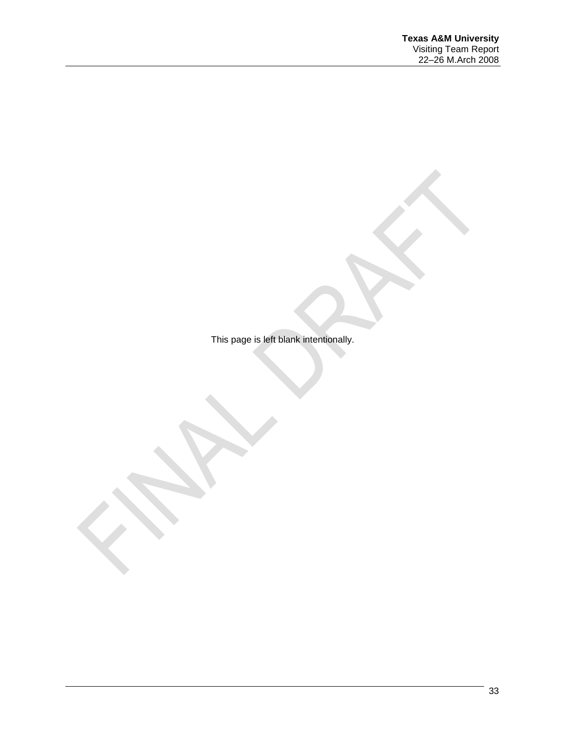This page is left blank intentionally.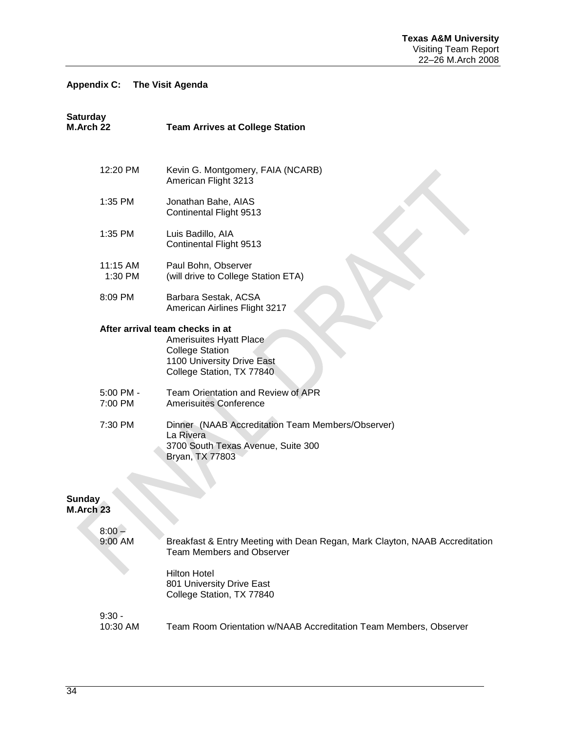# **Appendix C: The Visit Agenda**

| <b>Saturday</b><br>M.Arch 22 | <b>Team Arrives at College Station</b>                                                                                                                              |
|------------------------------|---------------------------------------------------------------------------------------------------------------------------------------------------------------------|
| 12:20 PM                     | Kevin G. Montgomery, FAIA (NCARB)<br>American Flight 3213                                                                                                           |
| 1:35 PM                      | Jonathan Bahe, AIAS<br>Continental Flight 9513                                                                                                                      |
| 1:35 PM                      | Luis Badillo, AIA<br>Continental Flight 9513                                                                                                                        |
| 11:15 AM<br>1:30 PM          | Paul Bohn, Observer<br>(will drive to College Station ETA)                                                                                                          |
| 8:09 PM                      | Barbara Sestak, ACSA<br>American Airlines Flight 3217                                                                                                               |
|                              | After arrival team checks in at<br>Amerisuites Hyatt Place<br><b>College Station</b><br>1100 University Drive East<br>College Station, TX 77840                     |
| 5:00 PM -<br>7:00 PM         | Team Orientation and Review of APR<br><b>Amerisuites Conference</b>                                                                                                 |
| 7:30 PM                      | Dinner (NAAB Accreditation Team Members/Observer)<br>La Rivera<br>3700 South Texas Avenue, Suite 300<br>Bryan, TX 77803                                             |
| <b>Sunday</b><br>M.Arch 23   |                                                                                                                                                                     |
| $8:00 -$<br>9:00 AM          | Breakfast & Entry Meeting with Dean Regan, Mark Clayton, NAAB Accreditation<br><b>Team Members and Observer</b><br><b>Hilton Hotel</b><br>801 University Drive East |
| $9:30 -$<br>10:30 AM         | College Station, TX 77840<br>Team Room Orientation w/NAAB Accreditation Team Members, Observer                                                                      |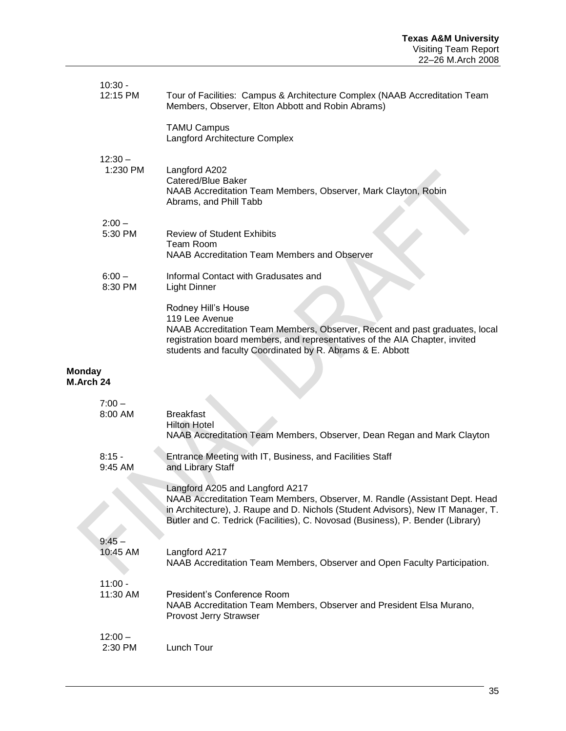| $10:30 -$<br>12:15 PM      | Tour of Facilities: Campus & Architecture Complex (NAAB Accreditation Team<br>Members, Observer, Elton Abbott and Robin Abrams)                                                                                                                                  |
|----------------------------|------------------------------------------------------------------------------------------------------------------------------------------------------------------------------------------------------------------------------------------------------------------|
|                            | <b>TAMU Campus</b><br>Langford Architecture Complex                                                                                                                                                                                                              |
| $12:30 -$<br>1:230 PM      | Langford A202<br>Catered/Blue Baker<br>NAAB Accreditation Team Members, Observer, Mark Clayton, Robin<br>Abrams, and Phill Tabb                                                                                                                                  |
| $2:00 -$<br>5:30 PM        | <b>Review of Student Exhibits</b><br>Team Room<br>NAAB Accreditation Team Members and Observer                                                                                                                                                                   |
| $6:00 -$<br>8:30 PM        | Informal Contact with Gradusates and<br><b>Light Dinner</b>                                                                                                                                                                                                      |
|                            | Rodney Hill's House<br>119 Lee Avenue<br>NAAB Accreditation Team Members, Observer, Recent and past graduates, local<br>registration board members, and representatives of the AIA Chapter, invited<br>students and faculty Coordinated by R. Abrams & E. Abbott |
| <b>Monday</b><br>M.Arch 24 |                                                                                                                                                                                                                                                                  |
|                            |                                                                                                                                                                                                                                                                  |

| $7:00 -$             |                                                                                                                                                                                                                                                                                     |
|----------------------|-------------------------------------------------------------------------------------------------------------------------------------------------------------------------------------------------------------------------------------------------------------------------------------|
| 8:00 AM              | <b>Breakfast</b><br><b>Hilton Hotel</b><br>NAAB Accreditation Team Members, Observer, Dean Regan and Mark Clayton                                                                                                                                                                   |
| $8:15 -$<br>9:45 AM  | Entrance Meeting with IT, Business, and Facilities Staff<br>and Library Staff                                                                                                                                                                                                       |
|                      | Langford A205 and Langford A217<br>NAAB Accreditation Team Members, Observer, M. Randle (Assistant Dept. Head<br>in Architecture), J. Raupe and D. Nichols (Student Advisors), New IT Manager, T.<br>Butler and C. Tedrick (Facilities), C. Novosad (Business), P. Bender (Library) |
| $9:45-$              |                                                                                                                                                                                                                                                                                     |
| 10:45 AM             | Langford A217<br>NAAB Accreditation Team Members, Observer and Open Faculty Participation.                                                                                                                                                                                          |
| $11:00 -$            |                                                                                                                                                                                                                                                                                     |
| 11:30 AM             | President's Conference Room<br>NAAB Accreditation Team Members, Observer and President Elsa Murano,<br><b>Provost Jerry Strawser</b>                                                                                                                                                |
| $12:00 -$<br>2:30 PM | Lunch Tour                                                                                                                                                                                                                                                                          |
|                      |                                                                                                                                                                                                                                                                                     |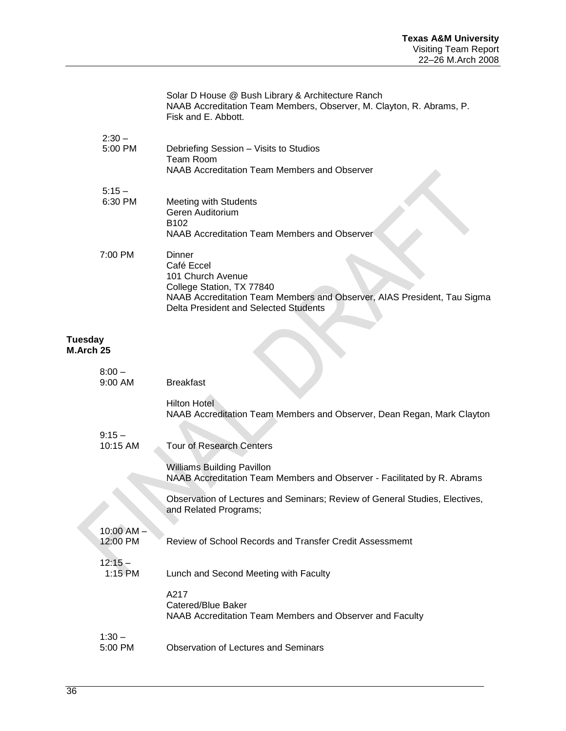|                             | Solar D House @ Bush Library & Architecture Ranch<br>NAAB Accreditation Team Members, Observer, M. Clayton, R. Abrams, P.<br>Fisk and E. Abbott.                                           |
|-----------------------------|--------------------------------------------------------------------------------------------------------------------------------------------------------------------------------------------|
| $2:30 -$<br>5:00 PM         | Debriefing Session - Visits to Studios<br>Team Room<br>NAAB Accreditation Team Members and Observer                                                                                        |
| $5:15 -$<br>6:30 PM         | Meeting with Students<br>Geren Auditorium<br>B102<br>NAAB Accreditation Team Members and Observer                                                                                          |
| 7:00 PM                     | Dinner<br>Café Eccel<br>101 Church Avenue<br>College Station, TX 77840<br>NAAB Accreditation Team Members and Observer, AIAS President, Tau Sigma<br>Delta President and Selected Students |
| <b>Tuesday</b><br>M.Arch 25 |                                                                                                                                                                                            |
| $8:00 -$<br>9:00 AM         | <b>Breakfast</b>                                                                                                                                                                           |
|                             | <b>Hilton Hotel</b><br>NAAB Accreditation Team Members and Observer, Dean Regan, Mark Clayton                                                                                              |
| $9:15 -$<br>10:15 AM        | <b>Tour of Research Centers</b>                                                                                                                                                            |
|                             | <b>Williams Building Pavillon</b><br>NAAB Accreditation Team Members and Observer - Facilitated by R. Abrams                                                                               |
|                             | Observation of Lectures and Seminars; Review of General Studies, Electives,<br>and Related Programs;                                                                                       |
| $10:00$ AM $-$<br>12:00 PM  | Review of School Records and Transfer Credit Assessmemt                                                                                                                                    |
| $12:15 -$<br>1:15 PM        | Lunch and Second Meeting with Faculty                                                                                                                                                      |
|                             | A217<br>Catered/Blue Baker<br>NAAB Accreditation Team Members and Observer and Faculty                                                                                                     |
| $1:30 -$<br>5:00 PM         | <b>Observation of Lectures and Seminars</b>                                                                                                                                                |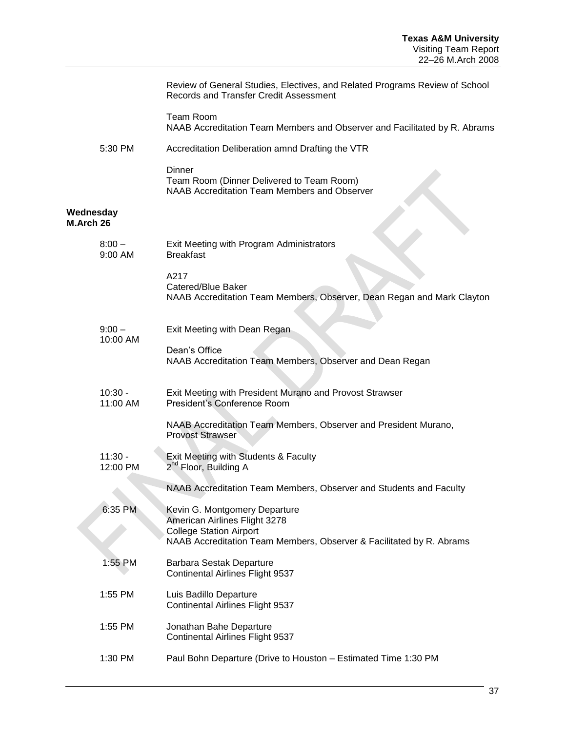|                        | Review of General Studies, Electives, and Related Programs Review of School<br><b>Records and Transfer Credit Assessment</b>                                             |
|------------------------|--------------------------------------------------------------------------------------------------------------------------------------------------------------------------|
|                        | <b>Team Room</b><br>NAAB Accreditation Team Members and Observer and Facilitated by R. Abrams                                                                            |
| 5:30 PM                | Accreditation Deliberation amnd Drafting the VTR                                                                                                                         |
|                        | <b>Dinner</b><br>Team Room (Dinner Delivered to Team Room)<br>NAAB Accreditation Team Members and Observer                                                               |
| Wednesday<br>M.Arch 26 |                                                                                                                                                                          |
| $8:00 -$<br>9:00 AM    | Exit Meeting with Program Administrators<br><b>Breakfast</b>                                                                                                             |
|                        | A217<br>Catered/Blue Baker<br>NAAB Accreditation Team Members, Observer, Dean Regan and Mark Clayton                                                                     |
| $9:00 -$               | Exit Meeting with Dean Regan                                                                                                                                             |
| 10:00 AM               | Dean's Office<br>NAAB Accreditation Team Members, Observer and Dean Regan                                                                                                |
| $10:30 -$<br>11:00 AM  | Exit Meeting with President Murano and Provost Strawser<br>President's Conference Room                                                                                   |
|                        | NAAB Accreditation Team Members, Observer and President Murano,<br><b>Provost Strawser</b>                                                                               |
| $11:30 -$<br>12:00 PM  | Exit Meeting with Students & Faculty<br>2 <sup>nd</sup> Floor, Building A                                                                                                |
|                        | NAAB Accreditation Team Members, Observer and Students and Faculty                                                                                                       |
| 6:35 PM                | Kevin G. Montgomery Departure<br>American Airlines Flight 3278<br><b>College Station Airport</b><br>NAAB Accreditation Team Members, Observer & Facilitated by R. Abrams |
| 1:55 PM                | Barbara Sestak Departure<br><b>Continental Airlines Flight 9537</b>                                                                                                      |
| 1:55 PM                | Luis Badillo Departure<br><b>Continental Airlines Flight 9537</b>                                                                                                        |
| 1:55 PM                | Jonathan Bahe Departure<br><b>Continental Airlines Flight 9537</b>                                                                                                       |
| 1:30 PM                | Paul Bohn Departure (Drive to Houston - Estimated Time 1:30 PM                                                                                                           |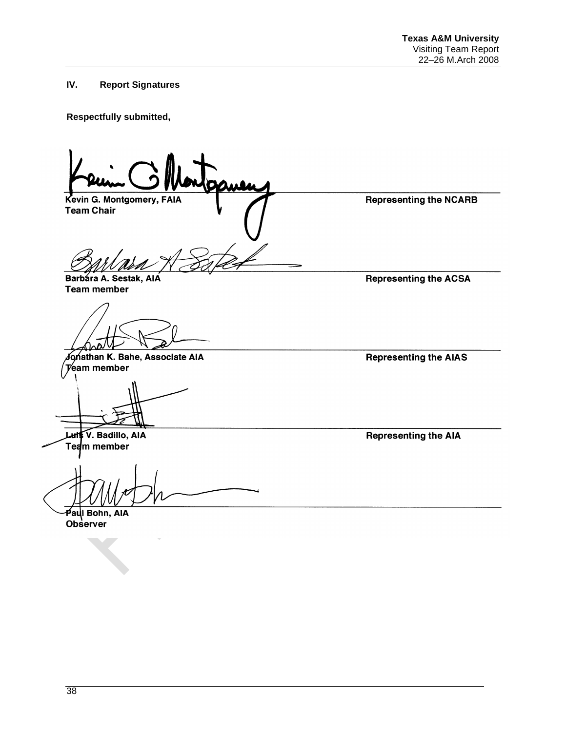## **IV. Report Signatures**

**Respectfully submitted,**

Kevin G. Montgomery, FAIA **Representing the NCARB Team Chair** Barbara A. Sestak, AIA **Representing the ACSA Team member** Jonathan K. Bahe, Associate AIA **Representing the AIAS Veam member** 

Luis V. Badillo, AIA Tedm member

Paul Bohn, AIA **Observer** 

**Representing the AIA**